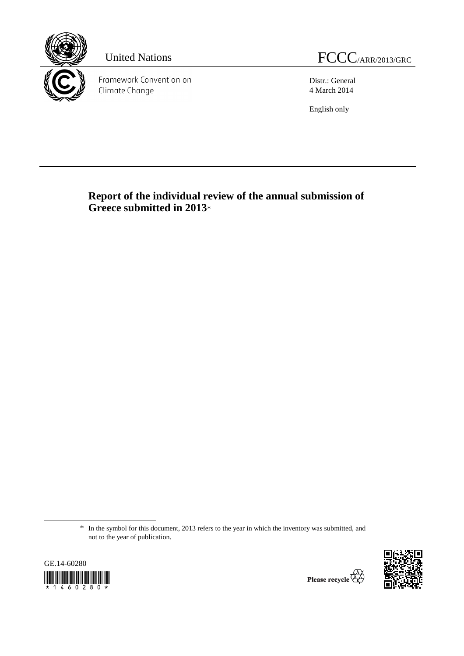

Framework Convention on Climate Change

United Nations FCCC/ARR/2013/GRC

Distr.: General 4 March 2014

English only

 **Report of the individual review of the annual submission of Greece submitted in 2013**\*

<sup>\*</sup> In the symbol for this document, 2013 refers to the year in which the inventory was submitted, and not to the year of publication.



 $\overline{a}$ 

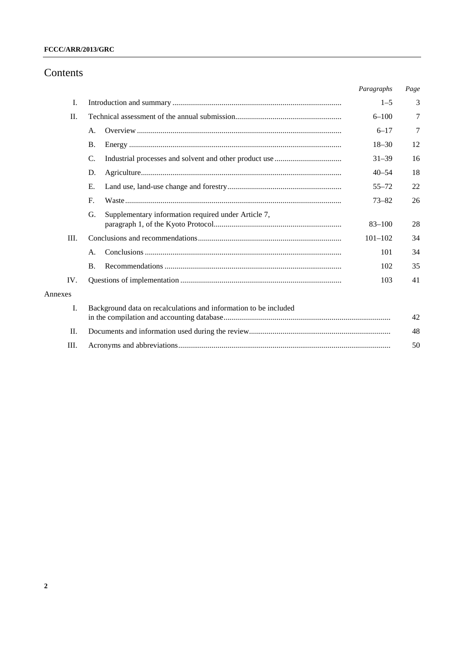# Contents

|         |                                                                  | Paragraphs  | Page |
|---------|------------------------------------------------------------------|-------------|------|
| I.      |                                                                  | $1 - 5$     | 3    |
| Π.      |                                                                  | $6 - 100$   | 7    |
|         | А.                                                               | $6 - 17$    | 7    |
|         | <b>B.</b>                                                        | $18 - 30$   | 12   |
|         | $\mathcal{C}$ .                                                  | $31 - 39$   | 16   |
|         | D.                                                               | $40 - 54$   | 18   |
|         | E.                                                               | $55 - 72$   | 22   |
|         | $F_{\cdot}$                                                      | $73 - 82$   | 26   |
|         | Supplementary information required under Article 7,<br>G.        | $83 - 100$  | 28   |
| Ш.      |                                                                  | $101 - 102$ | 34   |
|         | A.                                                               | 101         | 34   |
|         | <b>B.</b>                                                        | 102         | 35   |
| IV.     |                                                                  | 103         | 41   |
| Annexes |                                                                  |             |      |
| L.      | Background data on recalculations and information to be included |             | 42   |
| Π.      |                                                                  |             | 48   |
| III.    |                                                                  |             | 50   |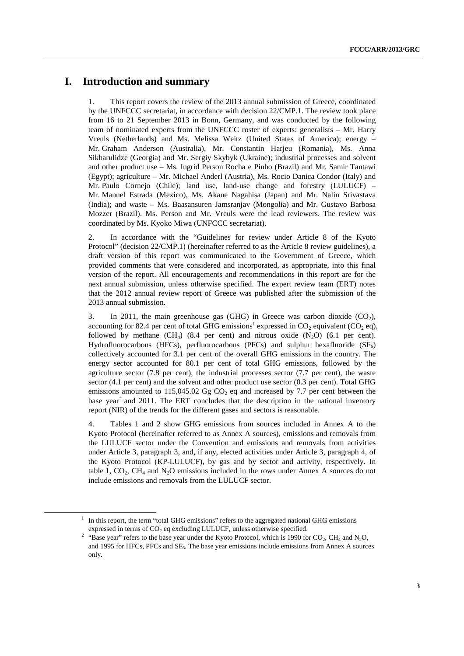# **I. Introduction and summary**

1. This report covers the review of the 2013 annual submission of Greece, coordinated by the UNFCCC secretariat, in accordance with decision 22/CMP.1. The review took place from 16 to 21 September 2013 in Bonn, Germany, and was conducted by the following team of nominated experts from the UNFCCC roster of experts: generalists – Mr. Harry Vreuls (Netherlands) and Ms. Melissa Weitz (United States of America); energy – Mr. Graham Anderson (Australia), Mr. Constantin Harjeu (Romania), Ms. Anna Sikharulidze (Georgia) and Mr. Sergiy Skybyk (Ukraine); industrial processes and solvent and other product use – Ms. Ingrid Person Rocha e Pinho (Brazil) and Mr. Samir Tantawi (Egypt); agriculture – Mr. Michael Anderl (Austria), Ms. Rocio Danica Condor (Italy) and Mr. Paulo Cornejo (Chile); land use, land-use change and forestry  $(LULUCF)$  – Mr. Manuel Estrada (Mexico), Ms. Akane Nagahisa (Japan) and Mr. Nalin Srivastava (India); and waste – Ms. Baasansuren Jamsranjav (Mongolia) and Mr. Gustavo Barbosa Mozzer (Brazil). Ms. Person and Mr. Vreuls were the lead reviewers. The review was coordinated by Ms. Kyoko Miwa (UNFCCC secretariat).

2. In accordance with the "Guidelines for review under Article 8 of the Kyoto Protocol" (decision 22/CMP.1) (hereinafter referred to as the Article 8 review guidelines), a draft version of this report was communicated to the Government of Greece, which provided comments that were considered and incorporated, as appropriate, into this final version of the report. All encouragements and recommendations in this report are for the next annual submission, unless otherwise specified. The expert review team (ERT) notes that the 2012 annual review report of Greece was published after the submission of the 2013 annual submission.

3. In 2011, the main greenhouse gas (GHG) in Greece was carbon dioxide  $(CO<sub>2</sub>)$ , accounting for 82.4 per cent of total GHG emissions<sup>1</sup> expressed in  $CO_2$  equivalent ( $CO_2$  eq), followed by methane  $(CH_4)$  (8.4 per cent) and nitrous oxide  $(N_2O)$  (6.1 per cent). Hydrofluorocarbons (HFCs), perfluorocarbons (PFCs) and sulphur hexafluoride  $(SF_6)$ collectively accounted for 3.1 per cent of the overall GHG emissions in the country. The energy sector accounted for 80.1 per cent of total GHG emissions, followed by the agriculture sector  $(7.8 \text{ per cent})$ , the industrial processes sector  $(7.7 \text{ per cent})$ , the waste sector (4.1 per cent) and the solvent and other product use sector (0.3 per cent). Total GHG emissions amounted to 115,045.02 Gg  $CO<sub>2</sub>$  eq and increased by 7.7 per cent between the base year<sup>2</sup> and 2011. The ERT concludes that the description in the national inventory report (NIR) of the trends for the different gases and sectors is reasonable.

4. Tables 1 and 2 show GHG emissions from sources included in Annex A to the Kyoto Protocol (hereinafter referred to as Annex A sources), emissions and removals from the LULUCF sector under the Convention and emissions and removals from activities under Article 3, paragraph 3, and, if any, elected activities under Article 3, paragraph 4, of the Kyoto Protocol (KP-LULUCF), by gas and by sector and activity, respectively. In table 1,  $CO<sub>2</sub>$ ,  $CH<sub>4</sub>$  and  $N<sub>2</sub>O$  emissions included in the rows under Annex A sources do not include emissions and removals from the LULUCF sector.

<sup>&</sup>lt;u>1</u>  $\frac{1}{1}$  In this report, the term "total GHG emissions" refers to the aggregated national GHG emissions expressed in terms of  $CO<sub>2</sub>$  eq excluding LULUCF, unless otherwise specified.

<sup>&</sup>lt;sup>2</sup> "Base year" refers to the base year under the Kyoto Protocol, which is 1990 for CO<sub>2</sub>, CH<sub>4</sub> and N<sub>2</sub>O, and 1995 for HFCs, PFCs and SF<sub>6</sub>. The base year emissions include emissions from Annex A sources only.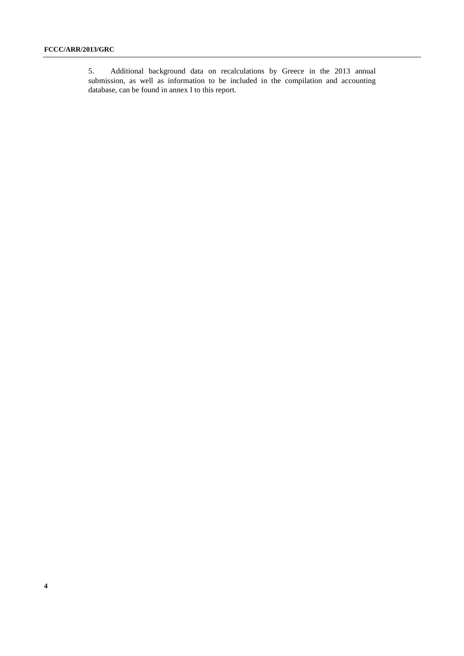5. Additional background data on recalculations by Greece in the 2013 annual submission, as well as information to be included in the compilation and accounting database, can be found in annex I to this report.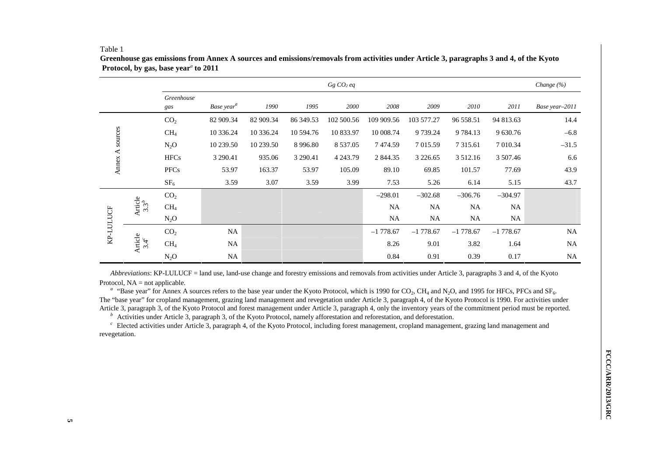#### Table 1

|                 |                          |                   |                        |           |            | $Gg$ $CO2$ eq |            |               |               |            | Change $(\%)$  |
|-----------------|--------------------------|-------------------|------------------------|-----------|------------|---------------|------------|---------------|---------------|------------|----------------|
|                 |                          | Greenhouse<br>gas | Base year <sup>a</sup> | 1990      | 1995       | 2000          | 2008       | 2009          | 2010          | 2011       | Base year-2011 |
|                 |                          | CO <sub>2</sub>   | 82 909.34              | 82 909.34 | 86 349.53  | 102 500.56    | 109 909.56 | 103 577.27    | 96 558.51     | 94 813.63  | 14.4           |
|                 |                          | CH <sub>4</sub>   | 10 336.24              | 10 336.24 | 10 594.76  | 10 833.97     | 10 008.74  | 9 739.24      | 9 7 8 4 . 1 3 | 9 630.76   | $-6.8$         |
|                 |                          | $N_2O$            | 10 239.50              | 10 239.50 | 8 9 9 6.80 | 8 5 3 7 . 0 5 | 7474.59    | 7 015.59      | 7 3 1 5 .6 1  | 7 010.34   | $-31.5$        |
| Annex A sources |                          | <b>HFCs</b>       | 3 290.41               | 935.06    | 3 290.41   | 4 2 4 3 .79   | 2 844.35   | 3 2 2 6 . 6 5 | 3 512.16      | 3 507.46   | 6.6            |
|                 |                          | <b>PFCs</b>       | 53.97                  | 163.37    | 53.97      | 105.09        | 89.10      | 69.85         | 101.57        | 77.69      | 43.9           |
|                 |                          | SF <sub>6</sub>   | 3.59                   | 3.07      | 3.59       | 3.99          | 7.53       | 5.26          | 6.14          | 5.15       | 43.7           |
|                 |                          | CO <sub>2</sub>   |                        |           |            |               | $-298.01$  | $-302.68$     | $-306.76$     | $-304.97$  |                |
| KP-LULUCF       | Article<br>$3.3^b$       | CH <sub>4</sub>   |                        |           |            |               | <b>NA</b>  | NA            | <b>NA</b>     | NA.        |                |
|                 |                          | $N_2O$            |                        |           |            |               | NA         | NA            | <b>NA</b>     | NA         |                |
|                 |                          | CO <sub>2</sub>   | <b>NA</b>              |           |            |               | $-1778.67$ | $-1778.67$    | $-1778.67$    | $-1778.67$ | <b>NA</b>      |
|                 | Article<br>3.4 $\degree$ | CH <sub>4</sub>   | NA                     |           |            |               | 8.26       | 9.01          | 3.82          | 1.64       | <b>NA</b>      |
|                 |                          | $N_2O$            | NA                     |           |            |               | 0.84       | 0.91          | 0.39          | 0.17       | <b>NA</b>      |

**Greenhouse gas emissions from Annex A sources and emissions/removals from activities under Article 3, paragraphs 3 and 4, of the Kyoto Protocol, by gas, base year***a* **to 2011**

*Abbreviations*: KP-LULUCF = land use, land-use change and forestry emissions and removals from activities under Article 3, paragraphs 3 and 4, of the Kyoto Protocol,  $NA = not$  applicable.

<sup>a</sup> "Base year" for Annex A sources refers to the base year under the Kyoto Protocol, which is 1990 for CO<sub>2</sub>, CH<sub>4</sub> and N<sub>2</sub>O, and 1995 for HFCs, PFCs and SF<sub>6</sub>. The "base year" for cropland management, grazing land management and revegetation under Article 3, paragraph 4, of the Kyoto Protocol is 1990. For activities under Article 3, paragraph 3, of the Kyoto Protocol and forest management under Article 3, paragraph 4, only the inventory years of the commitment period must be reported.

*b* Activities under Article 3, paragraph 3, of the Kyoto Protocol, namely afforestation and reforestation, and deforestation.

<sup>c</sup> Elected activities under Article 3, paragraph 4, of the Kyoto Protocol, including forest management, cropland management, grazing land management and revegetation.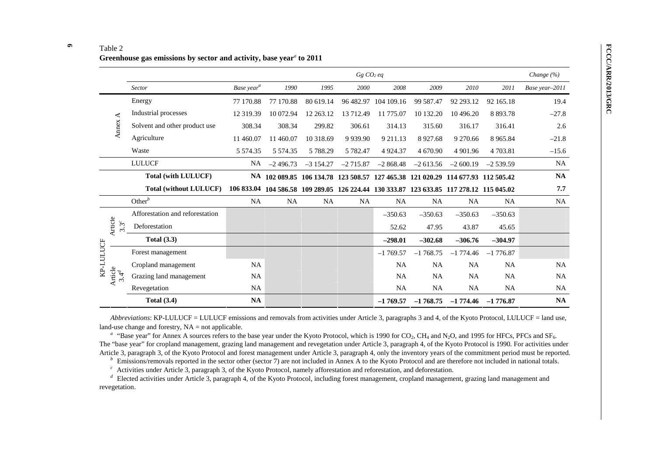|                    |                                 |                        |               |            | Gg CO <sub>2</sub> eq |                                                                                         |            |              |                       | Change $(\% )$ |
|--------------------|---------------------------------|------------------------|---------------|------------|-----------------------|-----------------------------------------------------------------------------------------|------------|--------------|-----------------------|----------------|
|                    | Sector                          | Base year <sup>a</sup> | 1990          | 1995       | 2000                  | 2008                                                                                    | 2009       | 2010         | 2011                  | Base year-2011 |
|                    | Energy                          | 77 170.88              | 77 170.88     | 80 619.14  | 96 482.97             | 104 109.16                                                                              | 99 587.47  | 92 293.12    | 92 165.18             | 19.4           |
| ⋖                  | Industrial processes            | 12 319.39              | 10 072.94     | 12 263.12  | 13 712.49             | 11 775.07                                                                               | 10 132.20  | 10 496.20    | 8 8 9 3 . 7 8         | $-27.8$        |
| Annex              | Solvent and other product use   | 308.34                 | 308.34        | 299.82     | 306.61                | 314.13                                                                                  | 315.60     | 316.17       | 316.41                | 2.6            |
|                    | Agriculture                     | 11 460.07              | 11 460.07     | 10 318.69  | 9 9 3 9 . 9 0         | 9 211.13                                                                                | 8927.68    | 9 270.66     | 8 9 6 5 . 8 4         | $-21.8$        |
|                    | Waste                           | 5 5 7 4 . 3 5          | 5 5 7 4 . 3 5 | 5 788.29   | 5 782.47              | 4 9 24.37                                                                               | 4 670.90   | 4 9 0 1 .9 6 | 4 7 0 3 .81           | $-15.6$        |
|                    | <b>LULUCF</b>                   | NA                     | $-2496.73$    | $-3154.27$ | $-2715.87$            | $-2868.48$                                                                              | $-2613.56$ | $-2600.19$   | $-2539.59$            | <b>NA</b>      |
|                    | <b>Total (with LULUCF)</b>      |                        |               |            |                       | NA 102 089.85 106 134.78 123 508.57 127 465.38 121 020.29 114 677.93 112 505.42         |            |              |                       | NA             |
|                    | <b>Total (without LULUCF)</b>   |                        |               |            |                       | 106 833.04 104 586.58 109 289.05 126 224.44 130 333.87 123 633.85 117 278.12 115 045.02 |            |              |                       | 7.7            |
|                    | Other $^b$                      | NA                     | NA            | <b>NA</b>  | <b>NA</b>             | <b>NA</b>                                                                               | NA         | <b>NA</b>    | NA                    | NA             |
|                    | Afforestation and reforestation |                        |               |            |                       | $-350.63$                                                                               | $-350.63$  | $-350.63$    | $-350.63$             |                |
| Article<br>$3.3^c$ | Deforestation                   |                        |               |            |                       | 52.62                                                                                   | 47.95      | 43.87        | 45.65                 |                |
|                    | Total $(3.3)$                   |                        |               |            |                       | $-298.01$                                                                               | $-302.68$  | $-306.76$    | $-304.97$             |                |
| KP-LULUCF          | Forest management               |                        |               |            |                       | $-1769.57$                                                                              | $-1768.75$ | $-1774.46$   | $-1776.87$            |                |
|                    | Cropland management             | <b>NA</b>              |               |            |                       | <b>NA</b>                                                                               | <b>NA</b>  | <b>NA</b>    | <b>NA</b>             | <b>NA</b>      |
| Article<br>$3.4^d$ | Grazing land management         | <b>NA</b>              |               |            |                       | <b>NA</b>                                                                               | <b>NA</b>  | <b>NA</b>    | <b>NA</b>             | <b>NA</b>      |
|                    | Revegetation                    | NA                     |               |            |                       | <b>NA</b>                                                                               | NA.        | <b>NA</b>    | <b>NA</b>             | <b>NA</b>      |
|                    | <b>Total (3.4)</b>              | NA                     |               |            |                       | $-1769.57$                                                                              | $-1768.75$ |              | $-1774.46$ $-1776.87$ | <b>NA</b>      |

*Abbreviations*: KP-LULUCF = LULUCF emissions and removals from activities under Article 3, paragraphs 3 and 4, of the Kyoto Protocol, LULUCF = land use, land-use change and forestry,  $NA = not$  applicable.

<sup>a</sup> "Base year" for Annex A sources refers to the base year under the Kyoto Protocol, which is 1990 for CO<sub>2</sub>, CH<sub>4</sub> and N<sub>2</sub>O, and 1995 for HFCs, PFCs and SF<sub>6</sub>. The "base year" for cropland management, grazing land management and revegetation under Article 3, paragraph 4, of the Kyoto Protocol is 1990. For activities under Article 3, paragraph 3, of the Kyoto Protocol and forest management under Article 3, paragraph 4, only the inventory years of the commitment period must be reported.

*b* Emissions/removals reported in the sector other (sector 7) are not included in Annex A to the Kyoto Protocol and are therefore not included in national totals.

<sup>c</sup> Activities under Article 3, paragraph 3, of the Kyoto Protocol, namely afforestation and reforestation, and deforestation.

<sup>d</sup> Elected activities under Article 3, paragraph 4, of the Kyoto Protocol, including forest management, cropland management, grazing land management and revegetation.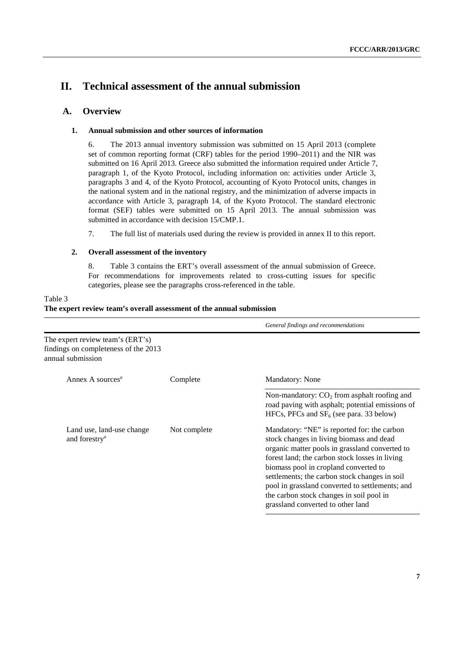# **II. Technical assessment of the annual submission**

# **A. Overview**

# **1. Annual submission and other sources of information**

6. The 2013 annual inventory submission was submitted on 15 April 2013 (complete set of common reporting format (CRF) tables for the period 1990–2011) and the NIR was submitted on 16 April 2013. Greece also submitted the information required under Article 7, paragraph 1, of the Kyoto Protocol, including information on: activities under Article 3, paragraphs 3 and 4, of the Kyoto Protocol, accounting of Kyoto Protocol units, changes in the national system and in the national registry, and the minimization of adverse impacts in accordance with Article 3, paragraph 14, of the Kyoto Protocol. The standard electronic format (SEF) tables were submitted on 15 April 2013. The annual submission was submitted in accordance with decision 15/CMP.1.

7. The full list of materials used during the review is provided in annex II to this report.

# **2. Overall assessment of the inventory**

8. Table 3 contains the ERT's overall assessment of the annual submission of Greece. For recommendations for improvements related to cross-cutting issues for specific categories, please see the paragraphs cross-referenced in the table.

|                                                                                               |              | General findings and recommendations                                                                                                                                                                                                                                                                                                                                                                                      |
|-----------------------------------------------------------------------------------------------|--------------|---------------------------------------------------------------------------------------------------------------------------------------------------------------------------------------------------------------------------------------------------------------------------------------------------------------------------------------------------------------------------------------------------------------------------|
| The expert review team's (ERT's)<br>findings on completeness of the 2013<br>annual submission |              |                                                                                                                                                                                                                                                                                                                                                                                                                           |
| Annex A sources <sup><math>a</math></sup>                                                     | Complete     | Mandatory: None                                                                                                                                                                                                                                                                                                                                                                                                           |
|                                                                                               |              | Non-mandatory: $CO2$ from asphalt roofing and<br>road paving with asphalt; potential emissions of<br>HFCs, PFCs and $SF_6$ (see para. 33 below)                                                                                                                                                                                                                                                                           |
| Land use, land-use change<br>and forestry <sup><math>a</math></sup>                           | Not complete | Mandatory: "NE" is reported for: the carbon<br>stock changes in living biomass and dead<br>organic matter pools in grassland converted to<br>forest land; the carbon stock losses in living<br>biomass pool in cropland converted to<br>settlements; the carbon stock changes in soil<br>pool in grassland converted to settlements; and<br>the carbon stock changes in soil pool in<br>grassland converted to other land |

# Table 3 **The expert review team's overall assessment of the annual submission**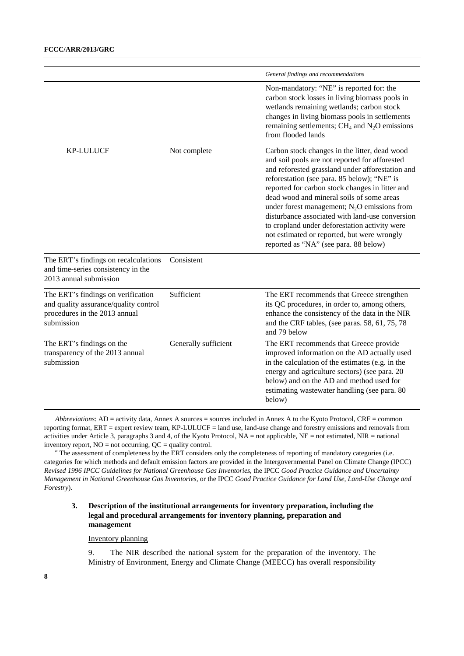|                                                                                                                            |                      | General findings and recommendations                                                                                                                                                                                                                                                                                                                                                                                                                                                                                                             |
|----------------------------------------------------------------------------------------------------------------------------|----------------------|--------------------------------------------------------------------------------------------------------------------------------------------------------------------------------------------------------------------------------------------------------------------------------------------------------------------------------------------------------------------------------------------------------------------------------------------------------------------------------------------------------------------------------------------------|
|                                                                                                                            |                      | Non-mandatory: "NE" is reported for: the<br>carbon stock losses in living biomass pools in<br>wetlands remaining wetlands; carbon stock<br>changes in living biomass pools in settlements<br>remaining settlements; $CH_4$ and $N_2O$ emissions<br>from flooded lands                                                                                                                                                                                                                                                                            |
| <b>KP-LULUCF</b>                                                                                                           | Not complete         | Carbon stock changes in the litter, dead wood<br>and soil pools are not reported for afforested<br>and reforested grassland under afforestation and<br>reforestation (see para. 85 below); "NE" is<br>reported for carbon stock changes in litter and<br>dead wood and mineral soils of some areas<br>under forest management; $N_2O$ emissions from<br>disturbance associated with land-use conversion<br>to cropland under deforestation activity were<br>not estimated or reported, but were wrongly<br>reported as "NA" (see para. 88 below) |
| The ERT's findings on recalculations<br>and time-series consistency in the<br>2013 annual submission                       | Consistent           |                                                                                                                                                                                                                                                                                                                                                                                                                                                                                                                                                  |
| The ERT's findings on verification<br>and quality assurance/quality control<br>procedures in the 2013 annual<br>submission | Sufficient           | The ERT recommends that Greece strengthen<br>its QC procedures, in order to, among others,<br>enhance the consistency of the data in the NIR<br>and the CRF tables, (see paras. 58, 61, 75, 78<br>and 79 below                                                                                                                                                                                                                                                                                                                                   |
| The ERT's findings on the<br>transparency of the 2013 annual<br>submission                                                 | Generally sufficient | The ERT recommends that Greece provide<br>improved information on the AD actually used<br>in the calculation of the estimates (e.g. in the<br>energy and agriculture sectors) (see para. 20<br>below) and on the AD and method used for<br>estimating wastewater handling (see para. 80<br>below)                                                                                                                                                                                                                                                |

*Abbreviations*: AD = activity data, Annex A sources = sources included in Annex A to the Kyoto Protocol, CRF = common reporting format, ERT = expert review team, KP-LULUCF = land use, land-use change and forestry emissions and removals from activities under Article 3, paragraphs 3 and 4, of the Kyoto Protocol,  $NA = not$  applicable,  $NE = not$  estimated,  $NIR =$  national inventory report,  $NO = not occurring$ ,  $QC = quality control$ .

*<sup>a</sup>* The assessment of completeness by the ERT considers only the completeness of reporting of mandatory categories (i.e. categories for which methods and default emission factors are provided in the Intergovernmental Panel on Climate Change (IPCC) *Revised 1996 IPCC Guidelines for National Greenhouse Gas Inventories*, the IPCC *Good Practice Guidance and Uncertainty Management in National Greenhouse Gas Inventories*, or the IPCC *Good Practice Guidance for Land Use, Land-Use Change and Forestry*).

## **3. Description of the institutional arrangements for inventory preparation, including the legal and procedural arrangements for inventory planning, preparation and management**

Inventory planning

9. The NIR described the national system for the preparation of the inventory. The Ministry of Environment, Energy and Climate Change (MEECC) has overall responsibility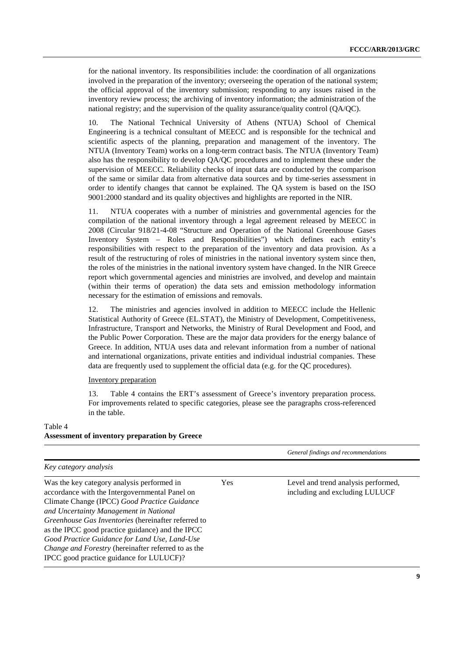for the national inventory. Its responsibilities include: the coordination of all organizations involved in the preparation of the inventory; overseeing the operation of the national system; the official approval of the inventory submission; responding to any issues raised in the inventory review process; the archiving of inventory information; the administration of the national registry; and the supervision of the quality assurance/quality control (QA/QC).

10. The National Technical University of Athens (NTUA) School of Chemical Engineering is a technical consultant of MEECC and is responsible for the technical and scientific aspects of the planning, preparation and management of the inventory. The NTUA (Inventory Team) works on a long-term contract basis. The NTUA (Inventory Team) also has the responsibility to develop QA/QC procedures and to implement these under the supervision of MEECC. Reliability checks of input data are conducted by the comparison of the same or similar data from alternative data sources and by time-series assessment in order to identify changes that cannot be explained. The QA system is based on the ISO 9001:2000 standard and its quality objectives and highlights are reported in the NIR.

11. NTUA cooperates with a number of ministries and governmental agencies for the compilation of the national inventory through a legal agreement released by MEECC in 2008 (Circular 918/21-4-08 "Structure and Operation of the National Greenhouse Gases Inventory System – Roles and Responsibilities") which defines each entity's responsibilities with respect to the preparation of the inventory and data provision. As a result of the restructuring of roles of ministries in the national inventory system since then, the roles of the ministries in the national inventory system have changed. In the NIR Greece report which governmental agencies and ministries are involved, and develop and maintain (within their terms of operation) the data sets and emission methodology information necessary for the estimation of emissions and removals.

12. The ministries and agencies involved in addition to MEECC include the Hellenic Statistical Authority of Greece (EL.STAT), the Ministry of Development, Competitiveness, Infrastructure, Transport and Networks, the Ministry of Rural Development and Food, and the Public Power Corporation. These are the major data providers for the energy balance of Greece. In addition, NTUA uses data and relevant information from a number of national and international organizations, private entities and individual industrial companies. These data are frequently used to supplement the official data (e.g. for the QC procedures).

#### Inventory preparation

13. Table 4 contains the ERT's assessment of Greece's inventory preparation process. For improvements related to specific categories, please see the paragraphs cross-referenced in the table.

# Table 4 **Assessment of inventory preparation by Greece**

| Key category analysis<br>Was the key category analysis performed in<br>Yes<br>Level and trend analysis performed,<br>accordance with the Intergovernmental Panel on<br>including and excluding LULUCF<br>Climate Change (IPCC) Good Practice Guidance<br>and Uncertainty Management in National<br>Greenhouse Gas Inventories (hereinafter referred to<br>as the IPCC good practice guidance) and the IPCC<br>Good Practice Guidance for Land Use, Land-Use<br>Change and Forestry (hereinafter referred to as the |                                          | General findings and recommendations |
|--------------------------------------------------------------------------------------------------------------------------------------------------------------------------------------------------------------------------------------------------------------------------------------------------------------------------------------------------------------------------------------------------------------------------------------------------------------------------------------------------------------------|------------------------------------------|--------------------------------------|
|                                                                                                                                                                                                                                                                                                                                                                                                                                                                                                                    |                                          |                                      |
|                                                                                                                                                                                                                                                                                                                                                                                                                                                                                                                    | IPCC good practice guidance for LULUCF)? |                                      |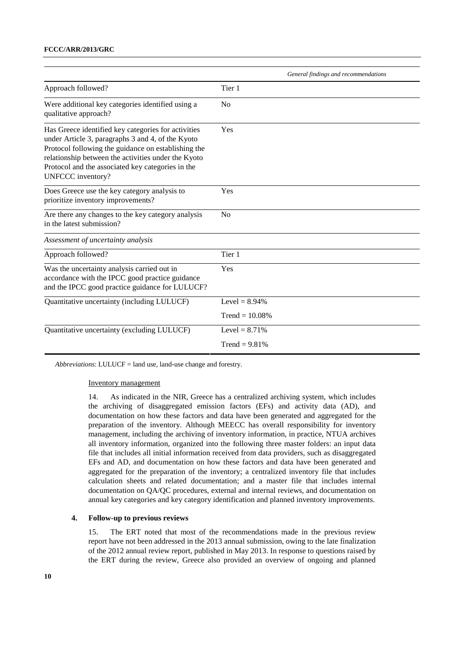|                                                                                                                                                                                                                                                                                                  | General findings and recommendations |
|--------------------------------------------------------------------------------------------------------------------------------------------------------------------------------------------------------------------------------------------------------------------------------------------------|--------------------------------------|
| Approach followed?                                                                                                                                                                                                                                                                               | Tier 1                               |
| Were additional key categories identified using a<br>qualitative approach?                                                                                                                                                                                                                       | N <sub>0</sub>                       |
| Has Greece identified key categories for activities<br>under Article 3, paragraphs 3 and 4, of the Kyoto<br>Protocol following the guidance on establishing the<br>relationship between the activities under the Kyoto<br>Protocol and the associated key categories in the<br>UNFCCC inventory? | Yes                                  |
| Does Greece use the key category analysis to<br>prioritize inventory improvements?                                                                                                                                                                                                               | Yes                                  |
| Are there any changes to the key category analysis<br>in the latest submission?                                                                                                                                                                                                                  | N <sub>o</sub>                       |
| Assessment of uncertainty analysis                                                                                                                                                                                                                                                               |                                      |
| Approach followed?                                                                                                                                                                                                                                                                               | Tier 1                               |
| Was the uncertainty analysis carried out in<br>accordance with the IPCC good practice guidance<br>and the IPCC good practice guidance for LULUCF?                                                                                                                                                | Yes                                  |
| Quantitative uncertainty (including LULUCF)                                                                                                                                                                                                                                                      | Level = $8.94\%$                     |
|                                                                                                                                                                                                                                                                                                  | Trend = $10.08\%$                    |
| Quantitative uncertainty (excluding LULUCF)                                                                                                                                                                                                                                                      | Level = $8.71%$                      |
|                                                                                                                                                                                                                                                                                                  | Trend = $9.81%$                      |

*Abbreviations*: LULUCF = land use, land-use change and forestry.

#### Inventory management

14. As indicated in the NIR, Greece has a centralized archiving system, which includes the archiving of disaggregated emission factors (EFs) and activity data (AD), and documentation on how these factors and data have been generated and aggregated for the preparation of the inventory. Although MEECC has overall responsibility for inventory management, including the archiving of inventory information, in practice, NTUA archives all inventory information, organized into the following three master folders: an input data file that includes all initial information received from data providers, such as disaggregated EFs and AD, and documentation on how these factors and data have been generated and aggregated for the preparation of the inventory; a centralized inventory file that includes calculation sheets and related documentation; and a master file that includes internal documentation on QA/QC procedures, external and internal reviews, and documentation on annual key categories and key category identification and planned inventory improvements.

### **4. Follow-up to previous reviews**

15. The ERT noted that most of the recommendations made in the previous review report have not been addressed in the 2013 annual submission, owing to the late finalization of the 2012 annual review report, published in May 2013. In response to questions raised by the ERT during the review, Greece also provided an overview of ongoing and planned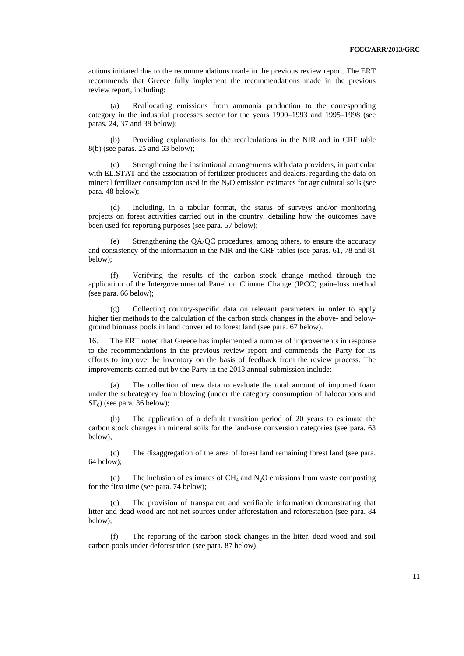actions initiated due to the recommendations made in the previous review report. The ERT recommends that Greece fully implement the recommendations made in the previous review report, including:

(a) Reallocating emissions from ammonia production to the corresponding category in the industrial processes sector for the years 1990–1993 and 1995–1998 (see paras. 24, 37 and 38 below);

(b) Providing explanations for the recalculations in the NIR and in CRF table 8(b) (see paras. 25 and 63 below);

(c) Strengthening the institutional arrangements with data providers, in particular with EL.STAT and the association of fertilizer producers and dealers, regarding the data on mineral fertilizer consumption used in the  $N_2O$  emission estimates for agricultural soils (see para. 48 below);

(d) Including, in a tabular format, the status of surveys and/or monitoring projects on forest activities carried out in the country, detailing how the outcomes have been used for reporting purposes (see para. 57 below);

Strengthening the QA/QC procedures, among others, to ensure the accuracy and consistency of the information in the NIR and the CRF tables (see paras. 61, 78 and 81 below);

(f) Verifying the results of the carbon stock change method through the application of the Intergovernmental Panel on Climate Change (IPCC) gain–loss method (see para. 66 below);

(g) Collecting country-specific data on relevant parameters in order to apply higher tier methods to the calculation of the carbon stock changes in the above- and belowground biomass pools in land converted to forest land (see para. 67 below).

16. The ERT noted that Greece has implemented a number of improvements in response to the recommendations in the previous review report and commends the Party for its efforts to improve the inventory on the basis of feedback from the review process. The improvements carried out by the Party in the 2013 annual submission include:

(a) The collection of new data to evaluate the total amount of imported foam under the subcategory foam blowing (under the category consumption of halocarbons and  $SF<sub>6</sub>$ ) (see para. 36 below);

The application of a default transition period of 20 years to estimate the carbon stock changes in mineral soils for the land-use conversion categories (see para. 63 below);

(c) The disaggregation of the area of forest land remaining forest land (see para. 64 below);

(d) The inclusion of estimates of  $CH_4$  and  $N_2O$  emissions from waste composting for the first time (see para. 74 below);

The provision of transparent and verifiable information demonstrating that litter and dead wood are not net sources under afforestation and reforestation (see para. 84 below);

(f) The reporting of the carbon stock changes in the litter, dead wood and soil carbon pools under deforestation (see para. 87 below).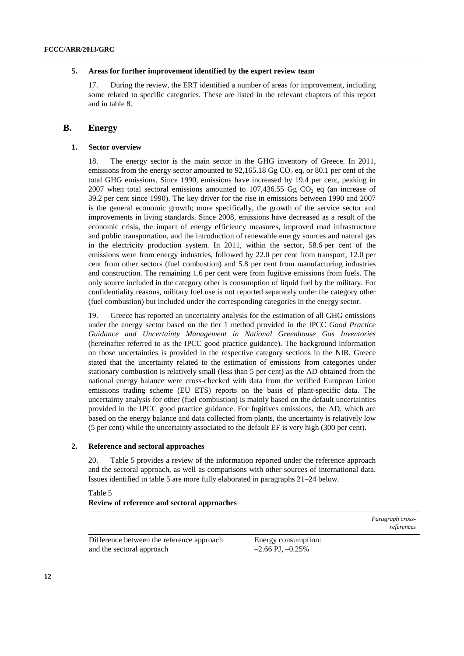#### **5. Areas for further improvement identified by the expert review team**

17. During the review, the ERT identified a number of areas for improvement, including some related to specific categories. These are listed in the relevant chapters of this report and in table 8.

# **B. Energy**

#### **1. Sector overview**

18. The energy sector is the main sector in the GHG inventory of Greece. In 2011, emissions from the energy sector amounted to  $92.165.18$  Gg CO<sub>2</sub> eq. or 80.1 per cent of the total GHG emissions. Since 1990, emissions have increased by 19.4 per cent, peaking in 2007 when total sectoral emissions amounted to  $107,436.55$  Gg CO<sub>2</sub> eq (an increase of 39.2 per cent since 1990). The key driver for the rise in emissions between 1990 and 2007 is the general economic growth; more specifically, the growth of the service sector and improvements in living standards. Since 2008, emissions have decreased as a result of the economic crisis, the impact of energy efficiency measures, improved road infrastructure and public transportation, and the introduction of renewable energy sources and natural gas in the electricity production system. In 2011, within the sector, 58.6 per cent of the emissions were from energy industries, followed by 22.0 per cent from transport, 12.0 per cent from other sectors (fuel combustion) and 5.8 per cent from manufacturing industries and construction. The remaining 1.6 per cent were from fugitive emissions from fuels. The only source included in the category other is consumption of liquid fuel by the military. For confidentiality reasons, military fuel use is not reported separately under the category other (fuel combustion) but included under the corresponding categories in the energy sector.

19. Greece has reported an uncertainty analysis for the estimation of all GHG emissions under the energy sector based on the tier 1 method provided in the IPCC *Good Practice Guidance and Uncertainty Management in National Greenhouse Gas Inventories*  (hereinafter referred to as the IPCC good practice guidance). The background information on those uncertainties is provided in the respective category sections in the NIR. Greece stated that the uncertainty related to the estimation of emissions from categories under stationary combustion is relatively small (less than 5 per cent) as the AD obtained from the national energy balance were cross-checked with data from the verified European Union emissions trading scheme (EU ETS) reports on the basis of plant-specific data. The uncertainty analysis for other (fuel combustion) is mainly based on the default uncertainties provided in the IPCC good practice guidance. For fugitives emissions, the AD, which are based on the energy balance and data collected from plants, the uncertainty is relatively low (5 per cent) while the uncertainty associated to the default EF is very high (300 per cent).

#### **2. Reference and sectoral approaches**

20. Table 5 provides a review of the information reported under the reference approach and the sectoral approach, as well as comparisons with other sources of international data. Issues identified in table 5 are more fully elaborated in paragraphs 21–24 below.

# Table 5 **Review of reference and sectoral approaches**

Difference between the reference approach and the sectoral approach

Energy consumption:  $-2.66$  PJ,  $-0.25%$ 

*Paragraph crossreferences*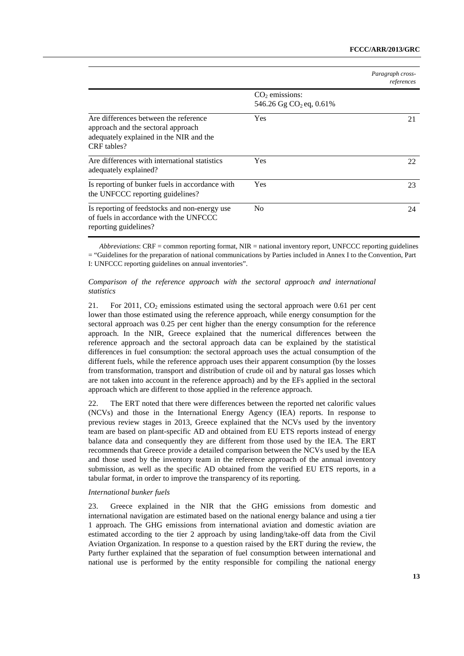|                                                                                                                                       |                                                         | Paragraph cross-<br>references |
|---------------------------------------------------------------------------------------------------------------------------------------|---------------------------------------------------------|--------------------------------|
|                                                                                                                                       | $CO2$ emissions:<br>546.26 Gg CO <sub>2</sub> eq, 0.61% |                                |
| Are differences between the reference<br>approach and the sectoral approach<br>adequately explained in the NIR and the<br>CRF tables? | Yes                                                     | 21                             |
| Are differences with international statistics<br>adequately explained?                                                                | Yes                                                     | 22                             |
| Is reporting of bunker fuels in accordance with<br>the UNFCCC reporting guidelines?                                                   | Yes                                                     | 23                             |
| Is reporting of feedstocks and non-energy use<br>of fuels in accordance with the UNFCCC<br>reporting guidelines?                      | N <sub>0</sub>                                          | 24                             |

*Abbreviations*: CRF = common reporting format, NIR = national inventory report, UNFCCC reporting guidelines = "Guidelines for the preparation of national communications by Parties included in Annex I to the Convention, Part I: UNFCCC reporting guidelines on annual inventories".

#### *Comparison of the reference approach with the sectoral approach and international statistics*

21. For 2011,  $CO<sub>2</sub>$  emissions estimated using the sectoral approach were 0.61 per cent lower than those estimated using the reference approach, while energy consumption for the sectoral approach was 0.25 per cent higher than the energy consumption for the reference approach. In the NIR, Greece explained that the numerical differences between the reference approach and the sectoral approach data can be explained by the statistical differences in fuel consumption: the sectoral approach uses the actual consumption of the different fuels, while the reference approach uses their apparent consumption (by the losses from transformation, transport and distribution of crude oil and by natural gas losses which are not taken into account in the reference approach) and by the EFs applied in the sectoral approach which are different to those applied in the reference approach.

22. The ERT noted that there were differences between the reported net calorific values (NCVs) and those in the International Energy Agency (IEA) reports. In response to previous review stages in 2013, Greece explained that the NCVs used by the inventory team are based on plant-specific AD and obtained from EU ETS reports instead of energy balance data and consequently they are different from those used by the IEA. The ERT recommends that Greece provide a detailed comparison between the NCVs used by the IEA and those used by the inventory team in the reference approach of the annual inventory submission, as well as the specific AD obtained from the verified EU ETS reports, in a tabular format, in order to improve the transparency of its reporting.

#### *International bunker fuels*

23. Greece explained in the NIR that the GHG emissions from domestic and international navigation are estimated based on the national energy balance and using a tier 1 approach. The GHG emissions from international aviation and domestic aviation are estimated according to the tier 2 approach by using landing/take-off data from the Civil Aviation Organization. In response to a question raised by the ERT during the review, the Party further explained that the separation of fuel consumption between international and national use is performed by the entity responsible for compiling the national energy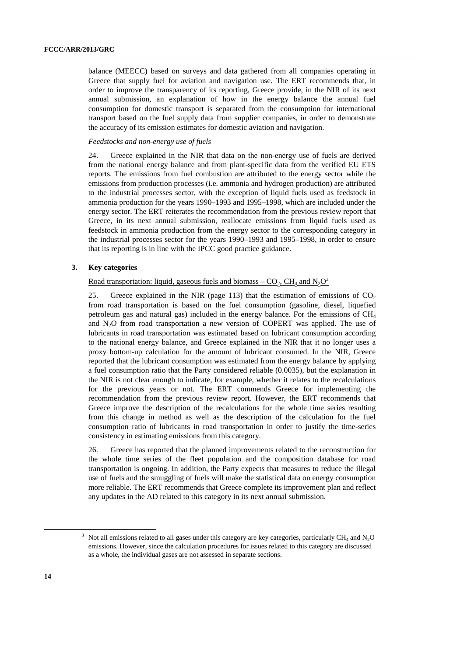balance (MEECC) based on surveys and data gathered from all companies operating in Greece that supply fuel for aviation and navigation use. The ERT recommends that, in order to improve the transparency of its reporting, Greece provide, in the NIR of its next annual submission, an explanation of how in the energy balance the annual fuel consumption for domestic transport is separated from the consumption for international transport based on the fuel supply data from supplier companies, in order to demonstrate the accuracy of its emission estimates for domestic aviation and navigation.

#### *Feedstocks and non-energy use of fuels*

24. Greece explained in the NIR that data on the non-energy use of fuels are derived from the national energy balance and from plant-specific data from the verified EU ETS reports. The emissions from fuel combustion are attributed to the energy sector while the emissions from production processes (i.e. ammonia and hydrogen production) are attributed to the industrial processes sector, with the exception of liquid fuels used as feedstock in ammonia production for the years 1990–1993 and 1995–1998, which are included under the energy sector. The ERT reiterates the recommendation from the previous review report that Greece, in its next annual submission, reallocate emissions from liquid fuels used as feedstock in ammonia production from the energy sector to the corresponding category in the industrial processes sector for the years 1990–1993 and 1995–1998, in order to ensure that its reporting is in line with the IPCC good practice guidance.

#### **3. Key categories**

Road transportation: liquid, gaseous fuels and biomass –  $CO_2$ ,  $CH_4$  and  $N_2O^3$ 

25. Greece explained in the NIR (page 113) that the estimation of emissions of  $CO<sub>2</sub>$ from road transportation is based on the fuel consumption (gasoline, diesel, liquefied petroleum gas and natural gas) included in the energy balance. For the emissions of  $CH<sub>4</sub>$ and N2O from road transportation a new version of COPERT was applied. The use of lubricants in road transportation was estimated based on lubricant consumption according to the national energy balance, and Greece explained in the NIR that it no longer uses a proxy bottom-up calculation for the amount of lubricant consumed. In the NIR, Greece reported that the lubricant consumption was estimated from the energy balance by applying a fuel consumption ratio that the Party considered reliable (0.0035), but the explanation in the NIR is not clear enough to indicate, for example, whether it relates to the recalculations for the previous years or not. The ERT commends Greece for implementing the recommendation from the previous review report. However, the ERT recommends that Greece improve the description of the recalculations for the whole time series resulting from this change in method as well as the description of the calculation for the fuel consumption ratio of lubricants in road transportation in order to justify the time-series consistency in estimating emissions from this category.

26. Greece has reported that the planned improvements related to the reconstruction for the whole time series of the fleet population and the composition database for road transportation is ongoing. In addition, the Party expects that measures to reduce the illegal use of fuels and the smuggling of fuels will make the statistical data on energy consumption more reliable. The ERT recommends that Greece complete its improvement plan and reflect any updates in the AD related to this category in its next annual submission.

 <sup>3</sup>  $3$  Not all emissions related to all gases under this category are key categories, particularly CH<sub>4</sub> and N<sub>2</sub>O emissions. However, since the calculation procedures for issues related to this category are discussed as a whole, the individual gases are not assessed in separate sections.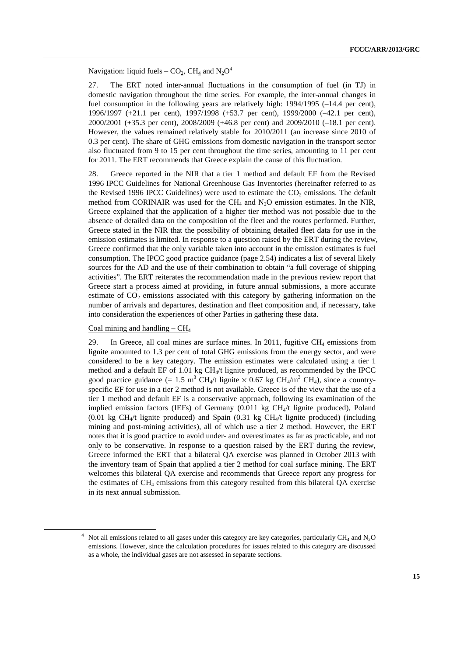#### Navigation: liquid fuels –  $CO_2$ , CH<sub>4</sub> and N<sub>2</sub>O<sup>4</sup>

27. The ERT noted inter-annual fluctuations in the consumption of fuel (in TJ) in domestic navigation throughout the time series. For example, the inter-annual changes in fuel consumption in the following years are relatively high: 1994/1995 (-14.4 per cent), 1996/1997 (+21.1 per cent), 1997/1998 (+53.7 per cent), 1999/2000 (–42.1 per cent), 2000/2001 (+35.3 per cent), 2008/2009 (+46.8 per cent) and 2009/2010 (–18.1 per cent). However, the values remained relatively stable for 2010/2011 (an increase since 2010 of 0.3 per cent). The share of GHG emissions from domestic navigation in the transport sector also fluctuated from 9 to 15 per cent throughout the time series, amounting to 11 per cent for 2011. The ERT recommends that Greece explain the cause of this fluctuation.

28. Greece reported in the NIR that a tier 1 method and default EF from the Revised 1996 IPCC Guidelines for National Greenhouse Gas Inventories (hereinafter referred to as the Revised 1996 IPCC Guidelines) were used to estimate the  $CO<sub>2</sub>$  emissions. The default method from CORINAIR was used for the  $CH_4$  and  $N_2O$  emission estimates. In the NIR, Greece explained that the application of a higher tier method was not possible due to the absence of detailed data on the composition of the fleet and the routes performed. Further, Greece stated in the NIR that the possibility of obtaining detailed fleet data for use in the emission estimates is limited. In response to a question raised by the ERT during the review, Greece confirmed that the only variable taken into account in the emission estimates is fuel consumption. The IPCC good practice guidance (page 2.54) indicates a list of several likely sources for the AD and the use of their combination to obtain "a full coverage of shipping activities". The ERT reiterates the recommendation made in the previous review report that Greece start a process aimed at providing, in future annual submissions, a more accurate estimate of  $CO<sub>2</sub>$  emissions associated with this category by gathering information on the number of arrivals and departures, destination and fleet composition and, if necessary, take into consideration the experiences of other Parties in gathering these data.

### Coal mining and handling  $-CH<sub>4</sub>$

29. In Greece, all coal mines are surface mines. In 2011, fugitive  $CH_4$  emissions from lignite amounted to 1.3 per cent of total GHG emissions from the energy sector, and were considered to be a key category. The emission estimates were calculated using a tier 1 method and a default EF of 1.01 kg  $CH<sub>4</sub>/t$  lignite produced, as recommended by the IPCC good practice guidance (= 1.5 m<sup>3</sup> CH<sub>4</sub>/t lignite  $\times$  0.67 kg CH<sub>4</sub>/m<sup>3</sup> CH<sub>4</sub>), since a countryspecific EF for use in a tier 2 method is not available. Greece is of the view that the use of a tier 1 method and default EF is a conservative approach, following its examination of the implied emission factors (IEFs) of Germany  $(0.011 \text{ kg } CH_4/t \text{ light produced})$ , Poland (0.01 kg CH<sub>4</sub>/t lignite produced) and Spain (0.31 kg CH<sub>4</sub>/t lignite produced) (including mining and post-mining activities), all of which use a tier 2 method. However, the ERT notes that it is good practice to avoid under- and overestimates as far as practicable, and not only to be conservative. In response to a question raised by the ERT during the review, Greece informed the ERT that a bilateral QA exercise was planned in October 2013 with the inventory team of Spain that applied a tier 2 method for coal surface mining. The ERT welcomes this bilateral QA exercise and recommends that Greece report any progress for the estimates of  $CH<sub>4</sub>$  emissions from this category resulted from this bilateral OA exercise in its next annual submission.

 <sup>4</sup>  $<sup>4</sup>$  Not all emissions related to all gases under this category are key categories, particularly CH<sub>4</sub> and N<sub>2</sub>O</sup> emissions. However, since the calculation procedures for issues related to this category are discussed as a whole, the individual gases are not assessed in separate sections.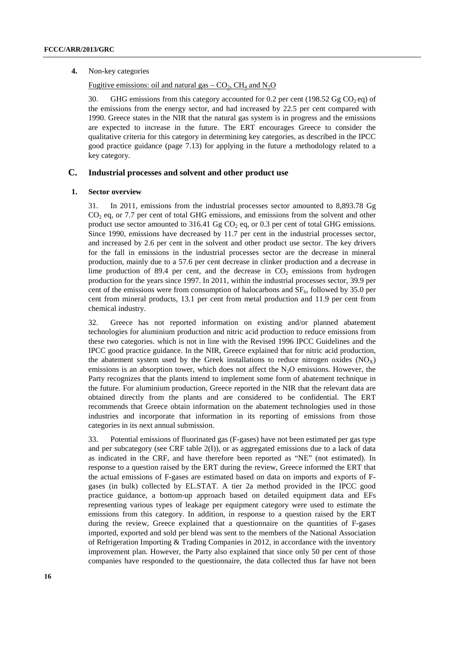#### **4.** Non-key categories

Fugitive emissions: oil and natural gas –  $CO<sub>2</sub>$ , CH<sub>4</sub> and N<sub>2</sub>O

30. GHG emissions from this category accounted for 0.2 per cent (198.52 Gg CO<sub>2</sub> eq) of the emissions from the energy sector, and had increased by 22.5 per cent compared with 1990. Greece states in the NIR that the natural gas system is in progress and the emissions are expected to increase in the future. The ERT encourages Greece to consider the qualitative criteria for this category in determining key categories, as described in the IPCC good practice guidance (page 7.13) for applying in the future a methodology related to a key category.

# **C. Industrial processes and solvent and other product use**

#### **1. Sector overview**

31. In 2011, emissions from the industrial processes sector amounted to 8,893.78 Gg  $CO<sub>2</sub>$  eq, or 7.7 per cent of total GHG emissions, and emissions from the solvent and other product use sector amounted to  $316.41 \text{ Gg CO}_2$  eq, or 0.3 per cent of total GHG emissions. Since 1990, emissions have decreased by 11.7 per cent in the industrial processes sector, and increased by 2.6 per cent in the solvent and other product use sector. The key drivers for the fall in emissions in the industrial processes sector are the decrease in mineral production, mainly due to a 57.6 per cent decrease in clinker production and a decrease in lime production of 89.4 per cent, and the decrease in  $CO<sub>2</sub>$  emissions from hydrogen production for the years since 1997. In 2011, within the industrial processes sector, 39.9 per cent of the emissions were from consumption of halocarbons and  $SF<sub>6</sub>$ , followed by 35.0 per cent from mineral products, 13.1 per cent from metal production and 11.9 per cent from chemical industry.

32. Greece has not reported information on existing and/or planned abatement technologies for aluminium production and nitric acid production to reduce emissions from these two categories. which is not in line with the Revised 1996 IPCC Guidelines and the IPCC good practice guidance. In the NIR, Greece explained that for nitric acid production, the abatement system used by the Greek installations to reduce nitrogen oxides  $(NO<sub>X</sub>)$ emissions is an absorption tower, which does not affect the  $N_2O$  emissions. However, the Party recognizes that the plants intend to implement some form of abatement technique in the future. For aluminium production, Greece reported in the NIR that the relevant data are obtained directly from the plants and are considered to be confidential. The ERT recommends that Greece obtain information on the abatement technologies used in those industries and incorporate that information in its reporting of emissions from those categories in its next annual submission.

33. Potential emissions of fluorinated gas (F-gases) have not been estimated per gas type and per subcategory (see CRF table 2(I)), or as aggregated emissions due to a lack of data as indicated in the CRF, and have therefore been reported as "NE" (not estimated). In response to a question raised by the ERT during the review, Greece informed the ERT that the actual emissions of F-gases are estimated based on data on imports and exports of Fgases (in bulk) collected by EL.STAT. A tier 2a method provided in the IPCC good practice guidance, a bottom-up approach based on detailed equipment data and EFs representing various types of leakage per equipment category were used to estimate the emissions from this category. In addition, in response to a question raised by the ERT during the review, Greece explained that a questionnaire on the quantities of F-gases imported, exported and sold per blend was sent to the members of the National Association of Refrigeration Importing & Trading Companies in 2012, in accordance with the inventory improvement plan. However, the Party also explained that since only 50 per cent of those companies have responded to the questionnaire, the data collected thus far have not been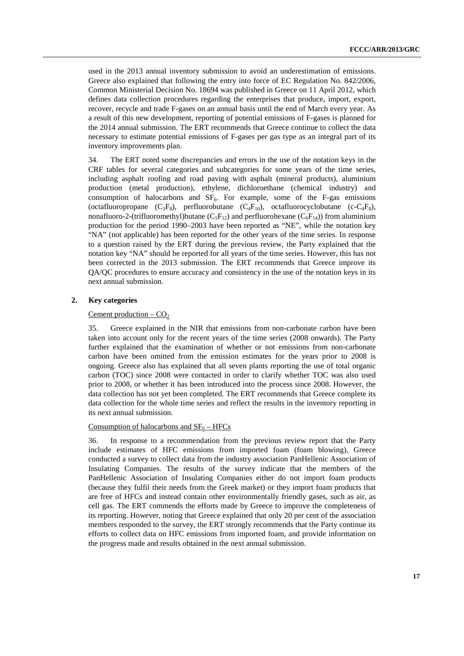used in the 2013 annual inventory submission to avoid an underestimation of emissions. Greece also explained that following the entry into force of EC Regulation No. 842/2006, Common Ministerial Decision No. 18694 was published in Greece on 11 April 2012, which defines data collection procedures regarding the enterprises that produce, import, export, recover, recycle and trade F-gases on an annual basis until the end of March every year. As a result of this new development, reporting of potential emissions of F-gases is planned for the 2014 annual submission. The ERT recommends that Greece continue to collect the data necessary to estimate potential emissions of F-gases per gas type as an integral part of its inventory improvements plan.

34. The ERT noted some discrepancies and errors in the use of the notation keys in the CRF tables for several categories and subcategories for some years of the time series, including asphalt roofing and road paving with asphalt (mineral products), aluminium production (metal production), ethylene, dichloroethane (chemical industry) and consumption of halocarbons and  $SF<sub>6</sub>$ . For example, some of the F-gas emissions (octafluoropropane  $(C_3F_8)$ , perfluorobutane  $(C_4F_{10})$ , octafluorocyclobutane (c-C<sub>4</sub>F<sub>8</sub>), nonafluoro-2-(trifluoromethyl)butane  $(C_5F_{12})$  and perfluorohexane  $(C_6F_{14})$ ) from aluminium production for the period 1990–2003 have been reported as "NE", while the notation key "NA" (not applicable) has been reported for the other years of the time series. In response to a question raised by the ERT during the previous review, the Party explained that the notation key "NA" should be reported for all years of the time series. However, this has not been corrected in the 2013 submission. The ERT recommends that Greece improve its QA/QC procedures to ensure accuracy and consistency in the use of the notation keys in its next annual submission.

#### **2. Key categories**

#### Cement production –  $CO<sub>2</sub>$

35. Greece explained in the NIR that emissions from non-carbonate carbon have been taken into account only for the recent years of the time series (2008 onwards). The Party further explained that the examination of whether or not emissions from non-carbonate carbon have been omitted from the emission estimates for the years prior to 2008 is ongoing. Greece also has explained that all seven plants reporting the use of total organic carbon (TOC) since 2008 were contacted in order to clarify whether TOC was also used prior to 2008, or whether it has been introduced into the process since 2008. However, the data collection has not yet been completed. The ERT recommends that Greece complete its data collection for the whole time series and reflect the results in the inventory reporting in its next annual submission.

#### Consumption of halocarbons and  $SF_6 - HFCs$

36. In response to a recommendation from the previous review report that the Party include estimates of HFC emissions from imported foam (foam blowing), Greece conducted a survey to collect data from the industry association PanHellenic Association of Insulating Companies. The results of the survey indicate that the members of the PanHellenic Association of Insulating Companies either do not import foam products (because they fulfil their needs from the Greek market) or they import foam products that are free of HFCs and instead contain other environmentally friendly gases, such as air, as cell gas. The ERT commends the efforts made by Greece to improve the completeness of its reporting. However, noting that Greece explained that only 20 per cent of the association members responded to the survey, the ERT strongly recommends that the Party continue its efforts to collect data on HFC emissions from imported foam, and provide information on the progress made and results obtained in the next annual submission.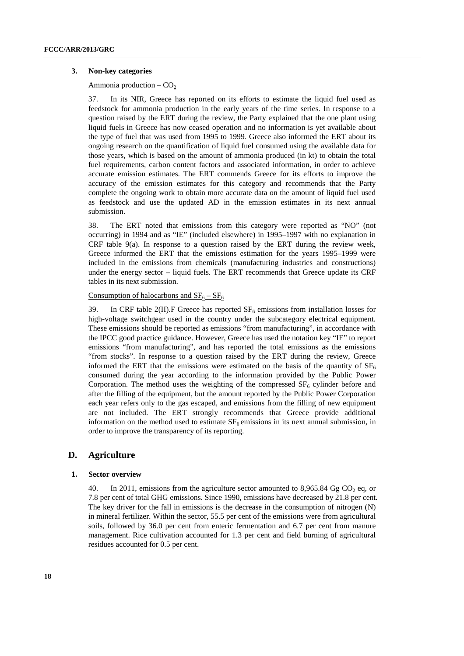#### **3. Non-key categories**

#### Ammonia production –  $CO<sub>2</sub>$

37. In its NIR, Greece has reported on its efforts to estimate the liquid fuel used as feedstock for ammonia production in the early years of the time series. In response to a question raised by the ERT during the review, the Party explained that the one plant using liquid fuels in Greece has now ceased operation and no information is yet available about the type of fuel that was used from 1995 to 1999. Greece also informed the ERT about its ongoing research on the quantification of liquid fuel consumed using the available data for those years, which is based on the amount of ammonia produced (in kt) to obtain the total fuel requirements, carbon content factors and associated information, in order to achieve accurate emission estimates. The ERT commends Greece for its efforts to improve the accuracy of the emission estimates for this category and recommends that the Party complete the ongoing work to obtain more accurate data on the amount of liquid fuel used as feedstock and use the updated AD in the emission estimates in its next annual submission.

38. The ERT noted that emissions from this category were reported as "NO" (not occurring) in 1994 and as "IE" (included elsewhere) in 1995–1997 with no explanation in CRF table 9(a). In response to a question raised by the ERT during the review week, Greece informed the ERT that the emissions estimation for the years 1995–1999 were included in the emissions from chemicals (manufacturing industries and constructions) under the energy sector – liquid fuels. The ERT recommends that Greece update its CRF tables in its next submission.

#### Consumption of halocarbons and  $SF_6 - SF_6$

39. In CRF table 2(II). F Greece has reported  $SF_6$  emissions from installation losses for high-voltage switchgear used in the country under the subcategory electrical equipment. These emissions should be reported as emissions "from manufacturing", in accordance with the IPCC good practice guidance. However, Greece has used the notation key "IE" to report emissions "from manufacturing", and has reported the total emissions as the emissions "from stocks". In response to a question raised by the ERT during the review, Greece informed the ERT that the emissions were estimated on the basis of the quantity of  $SF<sub>6</sub>$ consumed during the year according to the information provided by the Public Power Corporation. The method uses the weighting of the compressed  $SF<sub>6</sub>$  cylinder before and after the filling of the equipment, but the amount reported by the Public Power Corporation each year refers only to the gas escaped, and emissions from the filling of new equipment are not included. The ERT strongly recommends that Greece provide additional information on the method used to estimate  $SF<sub>6</sub>$  emissions in its next annual submission, in order to improve the transparency of its reporting.

# **D. Agriculture**

#### **1. Sector overview**

40. In 2011, emissions from the agriculture sector amounted to 8,965.84 Gg  $CO<sub>2</sub>$  eq, or 7.8 per cent of total GHG emissions. Since 1990, emissions have decreased by 21.8 per cent. The key driver for the fall in emissions is the decrease in the consumption of nitrogen (N) in mineral fertilizer. Within the sector, 55.5 per cent of the emissions were from agricultural soils, followed by 36.0 per cent from enteric fermentation and 6.7 per cent from manure management. Rice cultivation accounted for 1.3 per cent and field burning of agricultural residues accounted for 0.5 per cent.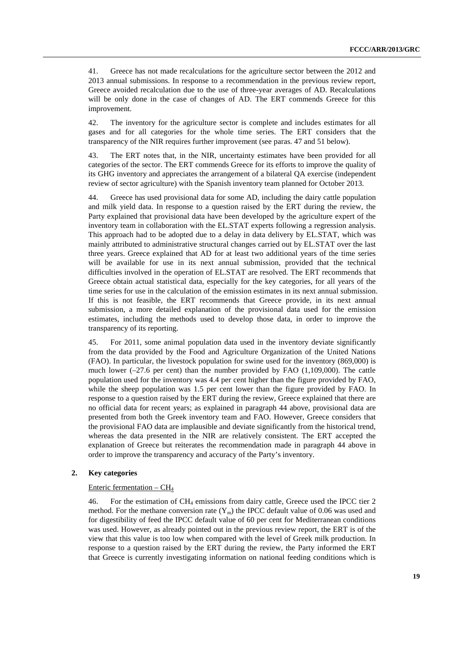41. Greece has not made recalculations for the agriculture sector between the 2012 and 2013 annual submissions. In response to a recommendation in the previous review report, Greece avoided recalculation due to the use of three-year averages of AD. Recalculations will be only done in the case of changes of AD. The ERT commends Greece for this improvement.

42. The inventory for the agriculture sector is complete and includes estimates for all gases and for all categories for the whole time series. The ERT considers that the transparency of the NIR requires further improvement (see paras. 47 and 51 below).

43. The ERT notes that, in the NIR, uncertainty estimates have been provided for all categories of the sector. The ERT commends Greece for its efforts to improve the quality of its GHG inventory and appreciates the arrangement of a bilateral QA exercise (independent review of sector agriculture) with the Spanish inventory team planned for October 2013.

44. Greece has used provisional data for some AD, including the dairy cattle population and milk yield data. In response to a question raised by the ERT during the review, the Party explained that provisional data have been developed by the agriculture expert of the inventory team in collaboration with the EL.STAT experts following a regression analysis. This approach had to be adopted due to a delay in data delivery by EL.STAT, which was mainly attributed to administrative structural changes carried out by EL.STAT over the last three years. Greece explained that AD for at least two additional years of the time series will be available for use in its next annual submission, provided that the technical difficulties involved in the operation of EL.STAT are resolved. The ERT recommends that Greece obtain actual statistical data, especially for the key categories, for all years of the time series for use in the calculation of the emission estimates in its next annual submission. If this is not feasible, the ERT recommends that Greece provide, in its next annual submission, a more detailed explanation of the provisional data used for the emission estimates, including the methods used to develop those data, in order to improve the transparency of its reporting.

45. For 2011, some animal population data used in the inventory deviate significantly from the data provided by the Food and Agriculture Organization of the United Nations (FAO). In particular, the livestock population for swine used for the inventory (869,000) is much lower (–27.6 per cent) than the number provided by FAO (1,109,000). The cattle population used for the inventory was 4.4 per cent higher than the figure provided by FAO, while the sheep population was 1.5 per cent lower than the figure provided by FAO. In response to a question raised by the ERT during the review, Greece explained that there are no official data for recent years; as explained in paragraph 44 above, provisional data are presented from both the Greek inventory team and FAO. However, Greece considers that the provisional FAO data are implausible and deviate significantly from the historical trend, whereas the data presented in the NIR are relatively consistent. The ERT accepted the explanation of Greece but reiterates the recommendation made in paragraph 44 above in order to improve the transparency and accuracy of the Party's inventory.

#### **2. Key categories**

#### Enteric fermentation –  $CH<sub>4</sub>$

46. For the estimation of CH4 emissions from dairy cattle, Greece used the IPCC tier 2 method. For the methane conversion rate  $(Y_m)$  the IPCC default value of 0.06 was used and for digestibility of feed the IPCC default value of 60 per cent for Mediterranean conditions was used. However, as already pointed out in the previous review report, the ERT is of the view that this value is too low when compared with the level of Greek milk production. In response to a question raised by the ERT during the review, the Party informed the ERT that Greece is currently investigating information on national feeding conditions which is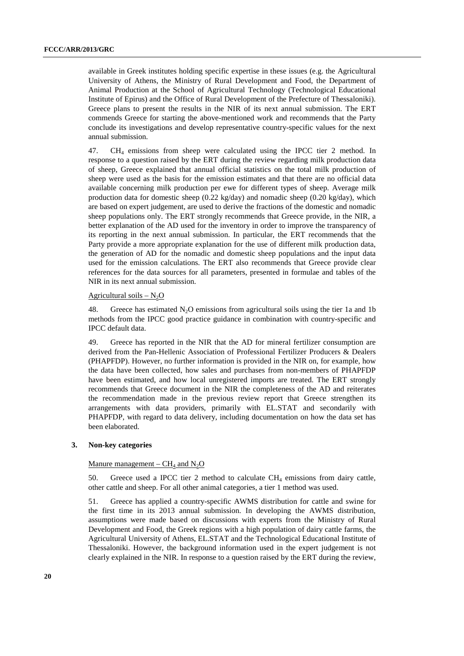available in Greek institutes holding specific expertise in these issues (e.g. the Agricultural University of Athens, the Ministry of Rural Development and Food, the Department of Animal Production at the School of Agricultural Technology (Technological Educational Institute of Epirus) and the Office of Rural Development of the Prefecture of Thessaloniki). Greece plans to present the results in the NIR of its next annual submission. The ERT commends Greece for starting the above-mentioned work and recommends that the Party conclude its investigations and develop representative country-specific values for the next annual submission.

47. CH<sub>4</sub> emissions from sheep were calculated using the IPCC tier 2 method. In response to a question raised by the ERT during the review regarding milk production data of sheep, Greece explained that annual official statistics on the total milk production of sheep were used as the basis for the emission estimates and that there are no official data available concerning milk production per ewe for different types of sheep. Average milk production data for domestic sheep  $(0.22 \text{ kg/day})$  and nomadic sheep  $(0.20 \text{ kg/day})$ , which are based on expert judgement, are used to derive the fractions of the domestic and nomadic sheep populations only. The ERT strongly recommends that Greece provide, in the NIR, a better explanation of the AD used for the inventory in order to improve the transparency of its reporting in the next annual submission. In particular, the ERT recommends that the Party provide a more appropriate explanation for the use of different milk production data, the generation of AD for the nomadic and domestic sheep populations and the input data used for the emission calculations. The ERT also recommends that Greece provide clear references for the data sources for all parameters, presented in formulae and tables of the NIR in its next annual submission.

#### Agricultural soils  $- N_2O$

48. Greece has estimated  $N_2O$  emissions from agricultural soils using the tier 1a and 1b methods from the IPCC good practice guidance in combination with country-specific and IPCC default data.

49. Greece has reported in the NIR that the AD for mineral fertilizer consumption are derived from the Pan-Hellenic Association of Professional Fertilizer Producers & Dealers (PHAPFDP). However, no further information is provided in the NIR on, for example, how the data have been collected, how sales and purchases from non-members of PHAPFDP have been estimated, and how local unregistered imports are treated. The ERT strongly recommends that Greece document in the NIR the completeness of the AD and reiterates the recommendation made in the previous review report that Greece strengthen its arrangements with data providers, primarily with EL.STAT and secondarily with PHAPFDP, with regard to data delivery, including documentation on how the data set has been elaborated.

#### **3. Non-key categories**

#### Manure management –  $CH_4$  and  $N_2O$

50. Greece used a IPCC tier 2 method to calculate CH4 emissions from dairy cattle, other cattle and sheep. For all other animal categories, a tier 1 method was used.

51. Greece has applied a country-specific AWMS distribution for cattle and swine for the first time in its 2013 annual submission. In developing the AWMS distribution, assumptions were made based on discussions with experts from the Ministry of Rural Development and Food, the Greek regions with a high population of dairy cattle farms, the Agricultural University of Athens, EL.STAT and the Technological Educational Institute of Thessaloniki. However, the background information used in the expert judgement is not clearly explained in the NIR. In response to a question raised by the ERT during the review,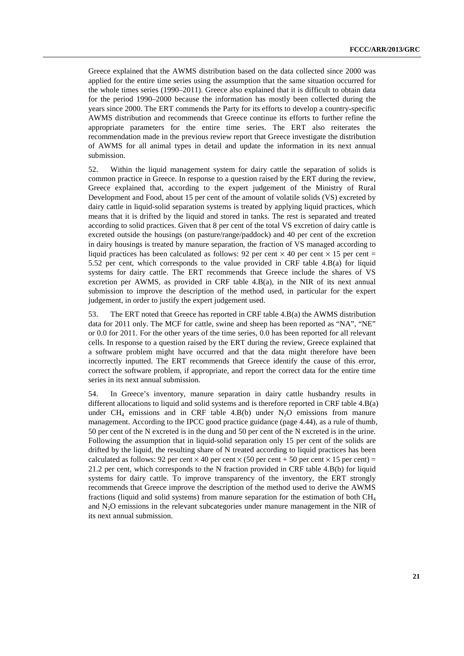Greece explained that the AWMS distribution based on the data collected since 2000 was applied for the entire time series using the assumption that the same situation occurred for the whole times series (1990–2011). Greece also explained that it is difficult to obtain data for the period 1990–2000 because the information has mostly been collected during the years since 2000. The ERT commends the Party for its efforts to develop a country-specific AWMS distribution and recommends that Greece continue its efforts to further refine the appropriate parameters for the entire time series. The ERT also reiterates the recommendation made in the previous review report that Greece investigate the distribution of AWMS for all animal types in detail and update the information in its next annual submission.

52. Within the liquid management system for dairy cattle the separation of solids is common practice in Greece. In response to a question raised by the ERT during the review, Greece explained that, according to the expert judgement of the Ministry of Rural Development and Food, about 15 per cent of the amount of volatile solids (VS) excreted by dairy cattle in liquid-solid separation systems is treated by applying liquid practices, which means that it is drifted by the liquid and stored in tanks. The rest is separated and treated according to solid practices. Given that 8 per cent of the total VS excretion of dairy cattle is excreted outside the housings (on pasture/range/paddock) and 40 per cent of the excretion in dairy housings is treated by manure separation, the fraction of VS managed according to liquid practices has been calculated as follows: 92 per cent  $\times$  40 per cent  $\times$  15 per cent = 5.52 per cent, which corresponds to the value provided in CRF table 4.B(a) for liquid systems for dairy cattle. The ERT recommends that Greece include the shares of VS excretion per AWMS, as provided in CRF table 4.B(a), in the NIR of its next annual submission to improve the description of the method used, in particular for the expert judgement, in order to justify the expert judgement used.

53. The ERT noted that Greece has reported in CRF table 4.B(a) the AWMS distribution data for 2011 only. The MCF for cattle, swine and sheep has been reported as "NA", "NE" or 0.0 for 2011. For the other years of the time series, 0.0 has been reported for all relevant cells. In response to a question raised by the ERT during the review, Greece explained that a software problem might have occurred and that the data might therefore have been incorrectly inputted. The ERT recommends that Greece identify the cause of this error, correct the software problem, if appropriate, and report the correct data for the entire time series in its next annual submission.

54. In Greece's inventory, manure separation in dairy cattle husbandry results in different allocations to liquid and solid systems and is therefore reported in CRF table 4.B(a) under  $CH_4$  emissions and in CRF table 4.B(b) under  $N_2O$  emissions from manure management. According to the IPCC good practice guidance (page 4.44), as a rule of thumb, 50 per cent of the N excreted is in the dung and 50 per cent of the N excreted is in the urine. Following the assumption that in liquid-solid separation only 15 per cent of the solids are drifted by the liquid, the resulting share of N treated according to liquid practices has been calculated as follows: 92 per cent  $\times$  40 per cent  $\times$  (50 per cent  $\times$  15 per cent) = 21.2 per cent, which corresponds to the N fraction provided in CRF table 4.B(b) for liquid systems for dairy cattle. To improve transparency of the inventory, the ERT strongly recommends that Greece improve the description of the method used to derive the AWMS fractions (liquid and solid systems) from manure separation for the estimation of both CH4 and  $N<sub>2</sub>O$  emissions in the relevant subcategories under manure management in the NIR of its next annual submission.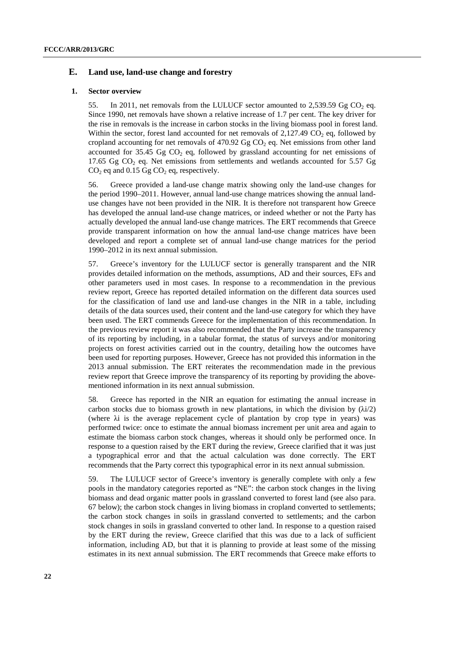### **E. Land use, land-use change and forestry**

#### **1. Sector overview**

55. In 2011, net removals from the LULUCF sector amounted to 2.539.59 Gg CO<sub>2</sub> eq. Since 1990, net removals have shown a relative increase of 1.7 per cent. The key driver for the rise in removals is the increase in carbon stocks in the living biomass pool in forest land. Within the sector, forest land accounted for net removals of  $2.127.49 \text{ CO}$  eq. followed by cropland accounting for net removals of  $470.92$  Gg CO<sub>2</sub> eq. Net emissions from other land accounted for 35.45 Gg  $CO<sub>2</sub>$  eq, followed by grassland accounting for net emissions of 17.65 Gg CO<sub>2</sub> eq. Net emissions from settlements and wetlands accounted for 5.57 Gg  $CO<sub>2</sub>$  eq and 0.15 Gg  $CO<sub>2</sub>$  eq, respectively.

56. Greece provided a land-use change matrix showing only the land-use changes for the period 1990–2011. However, annual land-use change matrices showing the annual landuse changes have not been provided in the NIR. It is therefore not transparent how Greece has developed the annual land-use change matrices, or indeed whether or not the Party has actually developed the annual land-use change matrices. The ERT recommends that Greece provide transparent information on how the annual land-use change matrices have been developed and report a complete set of annual land-use change matrices for the period 1990–2012 in its next annual submission.

57. Greece's inventory for the LULUCF sector is generally transparent and the NIR provides detailed information on the methods, assumptions, AD and their sources, EFs and other parameters used in most cases. In response to a recommendation in the previous review report, Greece has reported detailed information on the different data sources used for the classification of land use and land-use changes in the NIR in a table, including details of the data sources used, their content and the land-use category for which they have been used. The ERT commends Greece for the implementation of this recommendation. In the previous review report it was also recommended that the Party increase the transparency of its reporting by including, in a tabular format, the status of surveys and/or monitoring projects on forest activities carried out in the country, detailing how the outcomes have been used for reporting purposes. However, Greece has not provided this information in the 2013 annual submission. The ERT reiterates the recommendation made in the previous review report that Greece improve the transparency of its reporting by providing the abovementioned information in its next annual submission.

58. Greece has reported in the NIR an equation for estimating the annual increase in carbon stocks due to biomass growth in new plantations, in which the division by  $(\lambda i/2)$ (where λi is the average replacement cycle of plantation by crop type in years) was performed twice: once to estimate the annual biomass increment per unit area and again to estimate the biomass carbon stock changes, whereas it should only be performed once. In response to a question raised by the ERT during the review, Greece clarified that it was just a typographical error and that the actual calculation was done correctly. The ERT recommends that the Party correct this typographical error in its next annual submission.

59. The LULUCF sector of Greece's inventory is generally complete with only a few pools in the mandatory categories reported as "NE": the carbon stock changes in the living biomass and dead organic matter pools in grassland converted to forest land (see also para. 67 below); the carbon stock changes in living biomass in cropland converted to settlements; the carbon stock changes in soils in grassland converted to settlements; and the carbon stock changes in soils in grassland converted to other land. In response to a question raised by the ERT during the review, Greece clarified that this was due to a lack of sufficient information, including AD, but that it is planning to provide at least some of the missing estimates in its next annual submission. The ERT recommends that Greece make efforts to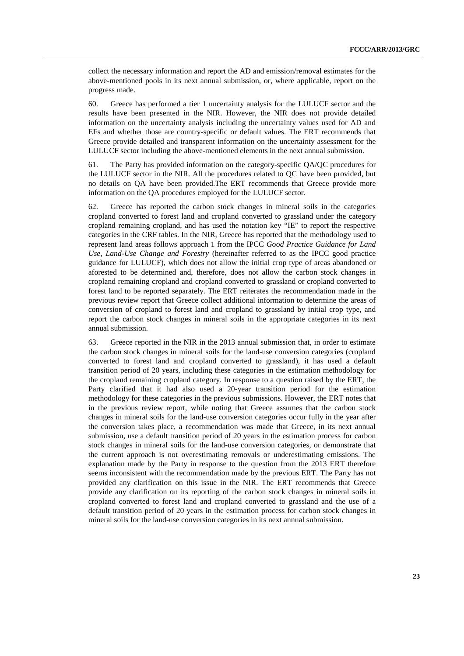collect the necessary information and report the AD and emission/removal estimates for the above-mentioned pools in its next annual submission, or, where applicable, report on the progress made.

60. Greece has performed a tier 1 uncertainty analysis for the LULUCF sector and the results have been presented in the NIR. However, the NIR does not provide detailed information on the uncertainty analysis including the uncertainty values used for AD and EFs and whether those are country-specific or default values. The ERT recommends that Greece provide detailed and transparent information on the uncertainty assessment for the LULUCF sector including the above-mentioned elements in the next annual submission.

61. The Party has provided information on the category-specific QA/QC procedures for the LULUCF sector in the NIR. All the procedures related to QC have been provided, but no details on QA have been provided.The ERT recommends that Greece provide more information on the QA procedures employed for the LULUCF sector.

62. Greece has reported the carbon stock changes in mineral soils in the categories cropland converted to forest land and cropland converted to grassland under the category cropland remaining cropland, and has used the notation key "IE" to report the respective categories in the CRF tables. In the NIR, Greece has reported that the methodology used to represent land areas follows approach 1 from the IPCC *Good Practice Guidance for Land Use, Land-Use Change and Forestry* (hereinafter referred to as the IPCC good practice guidance for LULUCF), which does not allow the initial crop type of areas abandoned or aforested to be determined and, therefore, does not allow the carbon stock changes in cropland remaining cropland and cropland converted to grassland or cropland converted to forest land to be reported separately. The ERT reiterates the recommendation made in the previous review report that Greece collect additional information to determine the areas of conversion of cropland to forest land and cropland to grassland by initial crop type, and report the carbon stock changes in mineral soils in the appropriate categories in its next annual submission.

63. Greece reported in the NIR in the 2013 annual submission that, in order to estimate the carbon stock changes in mineral soils for the land-use conversion categories (cropland converted to forest land and cropland converted to grassland), it has used a default transition period of 20 years, including these categories in the estimation methodology for the cropland remaining cropland category. In response to a question raised by the ERT, the Party clarified that it had also used a 20-year transition period for the estimation methodology for these categories in the previous submissions. However, the ERT notes that in the previous review report, while noting that Greece assumes that the carbon stock changes in mineral soils for the land-use conversion categories occur fully in the year after the conversion takes place, a recommendation was made that Greece, in its next annual submission, use a default transition period of 20 years in the estimation process for carbon stock changes in mineral soils for the land-use conversion categories, or demonstrate that the current approach is not overestimating removals or underestimating emissions. The explanation made by the Party in response to the question from the 2013 ERT therefore seems inconsistent with the recommendation made by the previous ERT. The Party has not provided any clarification on this issue in the NIR. The ERT recommends that Greece provide any clarification on its reporting of the carbon stock changes in mineral soils in cropland converted to forest land and cropland converted to grassland and the use of a default transition period of 20 years in the estimation process for carbon stock changes in mineral soils for the land-use conversion categories in its next annual submission.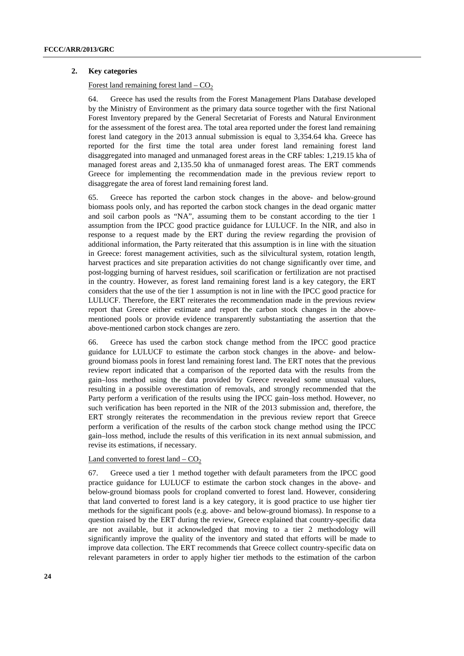#### **2. Key categories**

#### Forest land remaining forest land  $-$  CO<sub>2</sub>

64. Greece has used the results from the Forest Management Plans Database developed by the Ministry of Environment as the primary data source together with the first National Forest Inventory prepared by the General Secretariat of Forests and Natural Environment for the assessment of the forest area. The total area reported under the forest land remaining forest land category in the 2013 annual submission is equal to 3,354.64 kha. Greece has reported for the first time the total area under forest land remaining forest land disaggregated into managed and unmanaged forest areas in the CRF tables: 1,219.15 kha of managed forest areas and 2,135.50 kha of unmanaged forest areas. The ERT commends Greece for implementing the recommendation made in the previous review report to disaggregate the area of forest land remaining forest land.

65. Greece has reported the carbon stock changes in the above- and below-ground biomass pools only, and has reported the carbon stock changes in the dead organic matter and soil carbon pools as "NA", assuming them to be constant according to the tier 1 assumption from the IPCC good practice guidance for LULUCF. In the NIR, and also in response to a request made by the ERT during the review regarding the provision of additional information, the Party reiterated that this assumption is in line with the situation in Greece: forest management activities, such as the silvicultural system, rotation length, harvest practices and site preparation activities do not change significantly over time, and post-logging burning of harvest residues, soil scarification or fertilization are not practised in the country. However, as forest land remaining forest land is a key category, the ERT considers that the use of the tier 1 assumption is not in line with the IPCC good practice for LULUCF. Therefore, the ERT reiterates the recommendation made in the previous review report that Greece either estimate and report the carbon stock changes in the abovementioned pools or provide evidence transparently substantiating the assertion that the above-mentioned carbon stock changes are zero.

66. Greece has used the carbon stock change method from the IPCC good practice guidance for LULUCF to estimate the carbon stock changes in the above- and belowground biomass pools in forest land remaining forest land. The ERT notes that the previous review report indicated that a comparison of the reported data with the results from the gain–loss method using the data provided by Greece revealed some unusual values, resulting in a possible overestimation of removals, and strongly recommended that the Party perform a verification of the results using the IPCC gain–loss method. However, no such verification has been reported in the NIR of the 2013 submission and, therefore, the ERT strongly reiterates the recommendation in the previous review report that Greece perform a verification of the results of the carbon stock change method using the IPCC gain–loss method, include the results of this verification in its next annual submission, and revise its estimations, if necessary.

#### Land converted to forest land  $-$  CO<sub>2</sub>

67. Greece used a tier 1 method together with default parameters from the IPCC good practice guidance for LULUCF to estimate the carbon stock changes in the above- and below-ground biomass pools for cropland converted to forest land. However, considering that land converted to forest land is a key category, it is good practice to use higher tier methods for the significant pools (e.g. above- and below-ground biomass). In response to a question raised by the ERT during the review, Greece explained that country-specific data are not available, but it acknowledged that moving to a tier 2 methodology will significantly improve the quality of the inventory and stated that efforts will be made to improve data collection. The ERT recommends that Greece collect country-specific data on relevant parameters in order to apply higher tier methods to the estimation of the carbon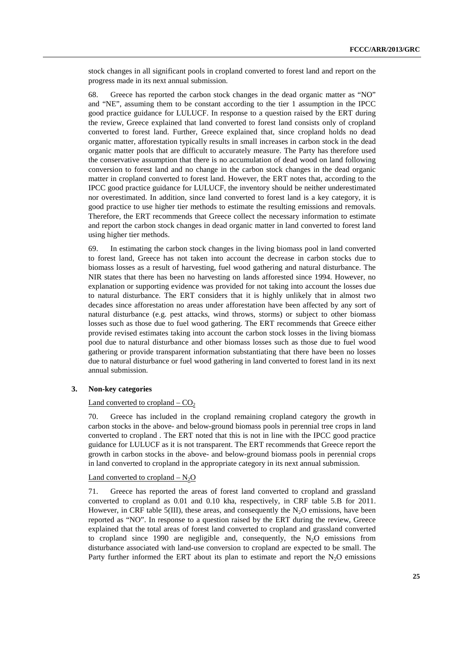stock changes in all significant pools in cropland converted to forest land and report on the progress made in its next annual submission.

68. Greece has reported the carbon stock changes in the dead organic matter as "NO" and "NE", assuming them to be constant according to the tier 1 assumption in the IPCC good practice guidance for LULUCF. In response to a question raised by the ERT during the review, Greece explained that land converted to forest land consists only of cropland converted to forest land. Further, Greece explained that, since cropland holds no dead organic matter, afforestation typically results in small increases in carbon stock in the dead organic matter pools that are difficult to accurately measure. The Party has therefore used the conservative assumption that there is no accumulation of dead wood on land following conversion to forest land and no change in the carbon stock changes in the dead organic matter in cropland converted to forest land. However, the ERT notes that, according to the IPCC good practice guidance for LULUCF, the inventory should be neither underestimated nor overestimated. In addition, since land converted to forest land is a key category, it is good practice to use higher tier methods to estimate the resulting emissions and removals. Therefore, the ERT recommends that Greece collect the necessary information to estimate and report the carbon stock changes in dead organic matter in land converted to forest land using higher tier methods.

69. In estimating the carbon stock changes in the living biomass pool in land converted to forest land, Greece has not taken into account the decrease in carbon stocks due to biomass losses as a result of harvesting, fuel wood gathering and natural disturbance. The NIR states that there has been no harvesting on lands afforested since 1994. However, no explanation or supporting evidence was provided for not taking into account the losses due to natural disturbance. The ERT considers that it is highly unlikely that in almost two decades since afforestation no areas under afforestation have been affected by any sort of natural disturbance (e.g. pest attacks, wind throws, storms) or subject to other biomass losses such as those due to fuel wood gathering. The ERT recommends that Greece either provide revised estimates taking into account the carbon stock losses in the living biomass pool due to natural disturbance and other biomass losses such as those due to fuel wood gathering or provide transparent information substantiating that there have been no losses due to natural disturbance or fuel wood gathering in land converted to forest land in its next annual submission.

#### **3. Non-key categories**

#### Land converted to cropland  $-CO<sub>2</sub>$

70. Greece has included in the cropland remaining cropland category the growth in carbon stocks in the above- and below-ground biomass pools in perennial tree crops in land converted to cropland . The ERT noted that this is not in line with the IPCC good practice guidance for LULUCF as it is not transparent. The ERT recommends that Greece report the growth in carbon stocks in the above- and below-ground biomass pools in perennial crops in land converted to cropland in the appropriate category in its next annual submission.

#### Land converted to cropland  $-N_2O$

71. Greece has reported the areas of forest land converted to cropland and grassland converted to cropland as 0.01 and 0.10 kha, respectively, in CRF table 5.B for 2011. However, in CRF table 5(III), these areas, and consequently the  $N_2O$  emissions, have been reported as "NO". In response to a question raised by the ERT during the review, Greece explained that the total areas of forest land converted to cropland and grassland converted to cropland since 1990 are negligible and, consequently, the  $N_2O$  emissions from disturbance associated with land-use conversion to cropland are expected to be small. The Party further informed the ERT about its plan to estimate and report the  $N_2O$  emissions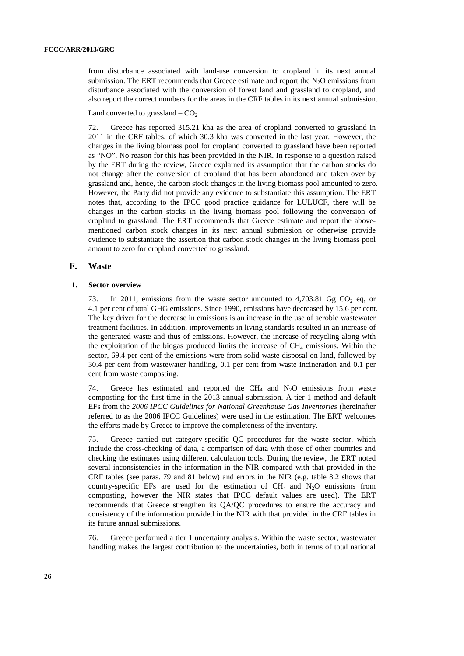from disturbance associated with land-use conversion to cropland in its next annual submission. The ERT recommends that Greece estimate and report the  $N_2O$  emissions from disturbance associated with the conversion of forest land and grassland to cropland, and also report the correct numbers for the areas in the CRF tables in its next annual submission.

#### Land converted to grassland  $-$  CO<sub>2</sub>

72. Greece has reported 315.21 kha as the area of cropland converted to grassland in 2011 in the CRF tables, of which 30.3 kha was converted in the last year. However, the changes in the living biomass pool for cropland converted to grassland have been reported as "NO". No reason for this has been provided in the NIR. In response to a question raised by the ERT during the review, Greece explained its assumption that the carbon stocks do not change after the conversion of cropland that has been abandoned and taken over by grassland and, hence, the carbon stock changes in the living biomass pool amounted to zero. However, the Party did not provide any evidence to substantiate this assumption. The ERT notes that, according to the IPCC good practice guidance for LULUCF, there will be changes in the carbon stocks in the living biomass pool following the conversion of cropland to grassland. The ERT recommends that Greece estimate and report the abovementioned carbon stock changes in its next annual submission or otherwise provide evidence to substantiate the assertion that carbon stock changes in the living biomass pool amount to zero for cropland converted to grassland.

#### **F. Waste**

#### **1. Sector overview**

73. In 2011, emissions from the waste sector amounted to 4,703.81 Gg  $CO<sub>2</sub>$  eq, or 4.1 per cent of total GHG emissions. Since 1990, emissions have decreased by 15.6 per cent. The key driver for the decrease in emissions is an increase in the use of aerobic wastewater treatment facilities. In addition, improvements in living standards resulted in an increase of the generated waste and thus of emissions. However, the increase of recycling along with the exploitation of the biogas produced limits the increase of  $CH<sub>4</sub>$  emissions. Within the sector, 69.4 per cent of the emissions were from solid waste disposal on land, followed by 30.4 per cent from wastewater handling, 0.1 per cent from waste incineration and 0.1 per cent from waste composting.

74. Greece has estimated and reported the CH<sub>4</sub> and N<sub>2</sub>O emissions from waste composting for the first time in the 2013 annual submission. A tier 1 method and default EFs from the *2006 IPCC Guidelines for National Greenhouse Gas Inventories* (hereinafter referred to as the 2006 IPCC Guidelines) were used in the estimation. The ERT welcomes the efforts made by Greece to improve the completeness of the inventory.

75. Greece carried out category-specific QC procedures for the waste sector, which include the cross-checking of data, a comparison of data with those of other countries and checking the estimates using different calculation tools. During the review, the ERT noted several inconsistencies in the information in the NIR compared with that provided in the CRF tables (see paras. 79 and 81 below) and errors in the NIR (e.g. table 8.2 shows that country-specific EFs are used for the estimation of  $CH_4$  and  $N_2O$  emissions from composting, however the NIR states that IPCC default values are used). The ERT recommends that Greece strengthen its QA/QC procedures to ensure the accuracy and consistency of the information provided in the NIR with that provided in the CRF tables in its future annual submissions.

76. Greece performed a tier 1 uncertainty analysis. Within the waste sector, wastewater handling makes the largest contribution to the uncertainties, both in terms of total national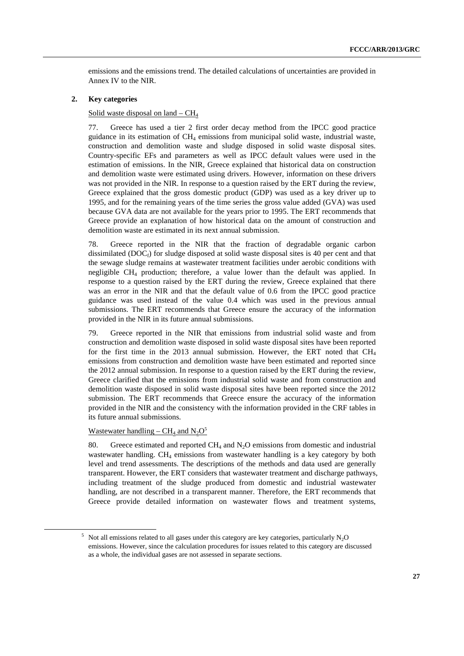emissions and the emissions trend. The detailed calculations of uncertainties are provided in Annex IV to the NIR.

#### **2. Key categories**

### Solid waste disposal on land –  $CH<sub>4</sub>$

77. Greece has used a tier 2 first order decay method from the IPCC good practice guidance in its estimation of  $CH_4$  emissions from municipal solid waste, industrial waste, construction and demolition waste and sludge disposed in solid waste disposal sites. Country-specific EFs and parameters as well as IPCC default values were used in the estimation of emissions. In the NIR, Greece explained that historical data on construction and demolition waste were estimated using drivers. However, information on these drivers was not provided in the NIR. In response to a question raised by the ERT during the review, Greece explained that the gross domestic product (GDP) was used as a key driver up to 1995, and for the remaining years of the time series the gross value added (GVA) was used because GVA data are not available for the years prior to 1995. The ERT recommends that Greece provide an explanation of how historical data on the amount of construction and demolition waste are estimated in its next annual submission.

78. Greece reported in the NIR that the fraction of degradable organic carbon dissimilated (DOC $_f$ ) for sludge disposed at solid waste disposal sites is 40 per cent and that the sewage sludge remains at wastewater treatment facilities under aerobic conditions with negligible CH4 production; therefore, a value lower than the default was applied. In response to a question raised by the ERT during the review, Greece explained that there was an error in the NIR and that the default value of 0.6 from the IPCC good practice guidance was used instead of the value 0.4 which was used in the previous annual submissions. The ERT recommends that Greece ensure the accuracy of the information provided in the NIR in its future annual submissions.

79. Greece reported in the NIR that emissions from industrial solid waste and from construction and demolition waste disposed in solid waste disposal sites have been reported for the first time in the 2013 annual submission. However, the ERT noted that  $CH<sub>4</sub>$ emissions from construction and demolition waste have been estimated and reported since the 2012 annual submission. In response to a question raised by the ERT during the review, Greece clarified that the emissions from industrial solid waste and from construction and demolition waste disposed in solid waste disposal sites have been reported since the 2012 submission. The ERT recommends that Greece ensure the accuracy of the information provided in the NIR and the consistency with the information provided in the CRF tables in its future annual submissions.

Wastewater handling – CH<sub>4</sub> and  $N_2O^5$ 

80. Greece estimated and reported  $CH_4$  and  $N_2O$  emissions from domestic and industrial wastewater handling. CH<sub>4</sub> emissions from wastewater handling is a key category by both level and trend assessments. The descriptions of the methods and data used are generally transparent. However, the ERT considers that wastewater treatment and discharge pathways, including treatment of the sludge produced from domestic and industrial wastewater handling, are not described in a transparent manner. Therefore, the ERT recommends that Greece provide detailed information on wastewater flows and treatment systems,

 $\frac{1}{5}$  $5$  Not all emissions related to all gases under this category are key categories, particularly N<sub>2</sub>O emissions. However, since the calculation procedures for issues related to this category are discussed as a whole, the individual gases are not assessed in separate sections.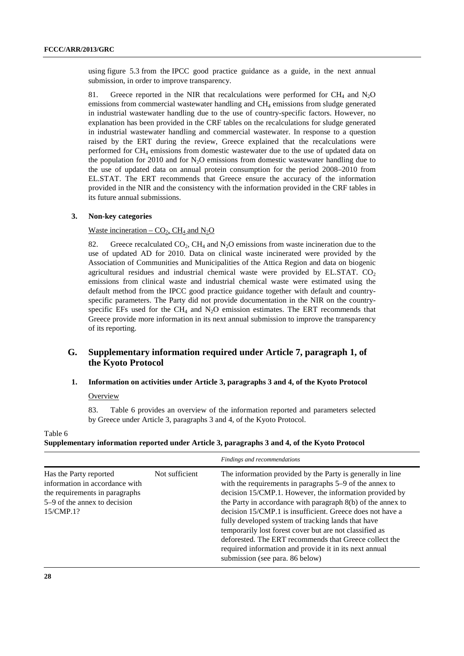using figure 5.3 from the IPCC good practice guidance as a guide, in the next annual submission, in order to improve transparency.

81. Greece reported in the NIR that recalculations were performed for  $CH_4$  and  $N_2O$ emissions from commercial wastewater handling and CH4 emissions from sludge generated in industrial wastewater handling due to the use of country-specific factors. However, no explanation has been provided in the CRF tables on the recalculations for sludge generated in industrial wastewater handling and commercial wastewater. In response to a question raised by the ERT during the review, Greece explained that the recalculations were performed for  $CH_4$  emissions from domestic wastewater due to the use of updated data on the population for  $2010$  and for N<sub>2</sub>O emissions from domestic wastewater handling due to the use of updated data on annual protein consumption for the period 2008–2010 from EL.STAT. The ERT recommends that Greece ensure the accuracy of the information provided in the NIR and the consistency with the information provided in the CRF tables in its future annual submissions.

#### **3. Non-key categories**

#### Waste incineration –  $CO<sub>2</sub>$ , CH<sub>4</sub> and N<sub>2</sub>O

82. Greece recalculated CO<sub>2</sub>, CH<sub>4</sub> and N<sub>2</sub>O emissions from waste incineration due to the use of updated AD for 2010. Data on clinical waste incinerated were provided by the Association of Communities and Municipalities of the Attica Region and data on biogenic agricultural residues and industrial chemical waste were provided by EL.STAT.  $CO<sub>2</sub>$ emissions from clinical waste and industrial chemical waste were estimated using the default method from the IPCC good practice guidance together with default and countryspecific parameters. The Party did not provide documentation in the NIR on the countryspecific EFs used for the  $CH_4$  and  $N_2O$  emission estimates. The ERT recommends that Greece provide more information in its next annual submission to improve the transparency of its reporting.

# **G. Supplementary information required under Article 7, paragraph 1, of the Kyoto Protocol**

# **1. Information on activities under Article 3, paragraphs 3 and 4, of the Kyoto Protocol**

#### **Overview**

83. Table 6 provides an overview of the information reported and parameters selected by Greece under Article 3, paragraphs 3 and 4, of the Kyoto Protocol.

## Table 6 **Supplementary information reported under Article 3, paragraphs 3 and 4, of the Kyoto Protocol**

|                                                                                                                                         |                | Findings and recommendations                                                                                                                                                                                                                                                                                                                                                                                                                                                                                                                                                         |
|-----------------------------------------------------------------------------------------------------------------------------------------|----------------|--------------------------------------------------------------------------------------------------------------------------------------------------------------------------------------------------------------------------------------------------------------------------------------------------------------------------------------------------------------------------------------------------------------------------------------------------------------------------------------------------------------------------------------------------------------------------------------|
| Has the Party reported<br>information in accordance with<br>the requirements in paragraphs<br>5–9 of the annex to decision<br>15/CMP.1? | Not sufficient | The information provided by the Party is generally in line<br>with the requirements in paragraphs 5–9 of the annex to<br>decision 15/CMP.1. However, the information provided by<br>the Party in accordance with paragraph 8(b) of the annex to<br>decision 15/CMP.1 is insufficient. Greece does not have a<br>fully developed system of tracking lands that have<br>temporarily lost forest cover but are not classified as<br>deforested. The ERT recommends that Greece collect the<br>required information and provide it in its next annual<br>submission (see para. 86 below) |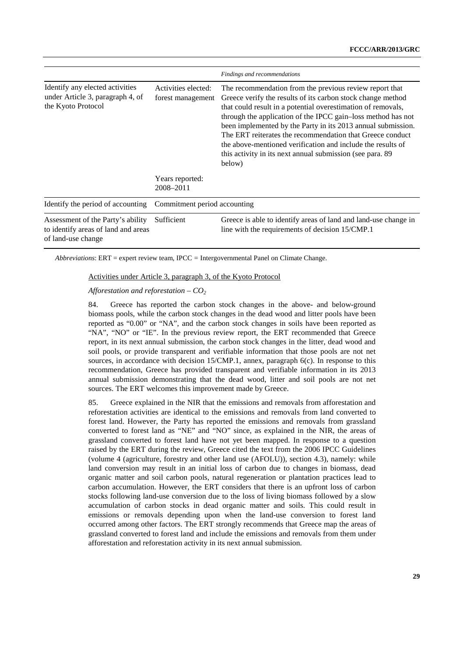|                                                                                                |                                          | Findings and recommendations                                                                                                                                                                                                                                                                                                                                                                                                                                                                                               |
|------------------------------------------------------------------------------------------------|------------------------------------------|----------------------------------------------------------------------------------------------------------------------------------------------------------------------------------------------------------------------------------------------------------------------------------------------------------------------------------------------------------------------------------------------------------------------------------------------------------------------------------------------------------------------------|
| Identify any elected activities<br>under Article 3, paragraph 4, of<br>the Kyoto Protocol      | Activities elected:<br>forest management | The recommendation from the previous review report that<br>Greece verify the results of its carbon stock change method<br>that could result in a potential overestimation of removals,<br>through the application of the IPCC gain-loss method has not<br>been implemented by the Party in its 2013 annual submission.<br>The ERT reiterates the recommendation that Greece conduct<br>the above-mentioned verification and include the results of<br>this activity in its next annual submission (see para. 89)<br>below) |
|                                                                                                | Years reported:<br>2008-2011             |                                                                                                                                                                                                                                                                                                                                                                                                                                                                                                                            |
| Identify the period of accounting                                                              | Commitment period accounting             |                                                                                                                                                                                                                                                                                                                                                                                                                                                                                                                            |
| Assessment of the Party's ability<br>to identify areas of land and areas<br>of land-use change | Sufficient                               | Greece is able to identify areas of land and land-use change in<br>line with the requirements of decision 15/CMP.1                                                                                                                                                                                                                                                                                                                                                                                                         |

*Abbreviations*: ERT = expert review team, IPCC *=* Intergovernmental Panel on Climate Change.

#### Activities under Article 3, paragraph 3, of the Kyoto Protocol

*Afforestation and reforestation – CO2*

84. Greece has reported the carbon stock changes in the above- and below-ground biomass pools, while the carbon stock changes in the dead wood and litter pools have been reported as "0.00" or "NA", and the carbon stock changes in soils have been reported as "NA", "NO" or "IE". In the previous review report, the ERT recommended that Greece report, in its next annual submission, the carbon stock changes in the litter, dead wood and soil pools, or provide transparent and verifiable information that those pools are not net sources, in accordance with decision 15/CMP.1, annex, paragraph 6(c). In response to this recommendation, Greece has provided transparent and verifiable information in its 2013 annual submission demonstrating that the dead wood, litter and soil pools are not net sources. The ERT welcomes this improvement made by Greece.

85. Greece explained in the NIR that the emissions and removals from afforestation and reforestation activities are identical to the emissions and removals from land converted to forest land. However, the Party has reported the emissions and removals from grassland converted to forest land as "NE" and "NO" since, as explained in the NIR, the areas of grassland converted to forest land have not yet been mapped. In response to a question raised by the ERT during the review, Greece cited the text from the 2006 IPCC Guidelines (volume 4 (agriculture, forestry and other land use (AFOLU)), section 4.3), namely: while land conversion may result in an initial loss of carbon due to changes in biomass, dead organic matter and soil carbon pools, natural regeneration or plantation practices lead to carbon accumulation. However, the ERT considers that there is an upfront loss of carbon stocks following land-use conversion due to the loss of living biomass followed by a slow accumulation of carbon stocks in dead organic matter and soils. This could result in emissions or removals depending upon when the land-use conversion to forest land occurred among other factors. The ERT strongly recommends that Greece map the areas of grassland converted to forest land and include the emissions and removals from them under afforestation and reforestation activity in its next annual submission.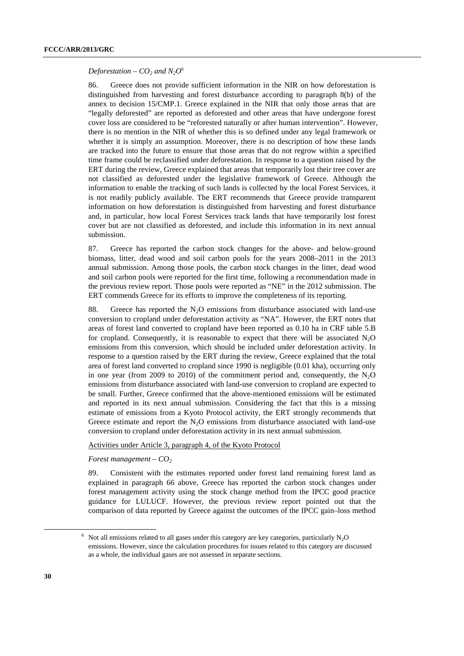#### *Deforestation –*  $CO_2$  *and*  $N_2O^6$

86. Greece does not provide sufficient information in the NIR on how deforestation is distinguished from harvesting and forest disturbance according to paragraph 8(b) of the annex to decision 15/CMP.1. Greece explained in the NIR that only those areas that are "legally deforested" are reported as deforested and other areas that have undergone forest cover loss are considered to be "reforested naturally or after human intervention". However, there is no mention in the NIR of whether this is so defined under any legal framework or whether it is simply an assumption. Moreover, there is no description of how these lands are tracked into the future to ensure that those areas that do not regrow within a specified time frame could be reclassified under deforestation. In response to a question raised by the ERT during the review, Greece explained that areas that temporarily lost their tree cover are not classified as deforested under the legislative framework of Greece. Although the information to enable the tracking of such lands is collected by the local Forest Services, it is not readily publicly available. The ERT recommends that Greece provide transparent information on how deforestation is distinguished from harvesting and forest disturbance and, in particular, how local Forest Services track lands that have temporarily lost forest cover but are not classified as deforested, and include this information in its next annual submission.

87. Greece has reported the carbon stock changes for the above- and below-ground biomass, litter, dead wood and soil carbon pools for the years 2008–2011 in the 2013 annual submission. Among those pools, the carbon stock changes in the litter, dead wood and soil carbon pools were reported for the first time, following a recommendation made in the previous review report. Those pools were reported as "NE" in the 2012 submission. The ERT commends Greece for its efforts to improve the completeness of its reporting.

88. Greece has reported the  $N<sub>2</sub>O$  emissions from disturbance associated with land-use conversion to cropland under deforestation activity as "NA". However, the ERT notes that areas of forest land converted to cropland have been reported as 0.10 ha in CRF table 5.B for cropland. Consequently, it is reasonable to expect that there will be associated  $N_2O$ emissions from this conversion, which should be included under deforestation activity. In response to a question raised by the ERT during the review, Greece explained that the total area of forest land converted to cropland since 1990 is negligible (0.01 kha), occurring only in one year (from 2009 to 2010) of the commitment period and, consequently, the  $N_2O$ emissions from disturbance associated with land-use conversion to cropland are expected to be small. Further, Greece confirmed that the above-mentioned emissions will be estimated and reported in its next annual submission. Considering the fact that this is a missing estimate of emissions from a Kyoto Protocol activity, the ERT strongly recommends that Greece estimate and report the  $N_2O$  emissions from disturbance associated with land-use conversion to cropland under deforestation activity in its next annual submission.

#### Activities under Article 3, paragraph 4, of the Kyoto Protocol

*Forest management – CO2*

89. Consistent with the estimates reported under forest land remaining forest land as explained in paragraph 66 above, Greece has reported the carbon stock changes under forest management activity using the stock change method from the IPCC good practice guidance for LULUCF. However, the previous review report pointed out that the comparison of data reported by Greece against the outcomes of the IPCC gain–loss method

 $\overline{\phantom{a}}$  $6$  Not all emissions related to all gases under this category are key categories, particularly N<sub>2</sub>O emissions. However, since the calculation procedures for issues related to this category are discussed as a whole, the individual gases are not assessed in separate sections.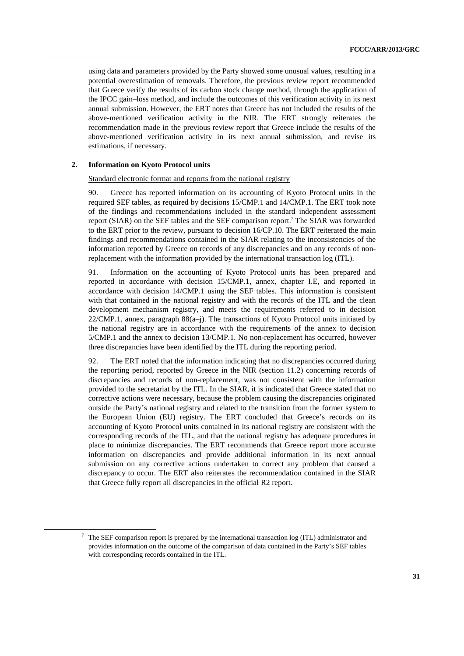using data and parameters provided by the Party showed some unusual values, resulting in a potential overestimation of removals. Therefore, the previous review report recommended that Greece verify the results of its carbon stock change method, through the application of the IPCC gain–loss method, and include the outcomes of this verification activity in its next annual submission. However, the ERT notes that Greece has not included the results of the above-mentioned verification activity in the NIR. The ERT strongly reiterates the recommendation made in the previous review report that Greece include the results of the above-mentioned verification activity in its next annual submission, and revise its estimations, if necessary.

#### **2. Information on Kyoto Protocol units**

#### Standard electronic format and reports from the national registry

90. Greece has reported information on its accounting of Kyoto Protocol units in the required SEF tables, as required by decisions 15/CMP.1 and 14/CMP.1. The ERT took note of the findings and recommendations included in the standard independent assessment report (SIAR) on the SEF tables and the SEF comparison report.<sup>7</sup> The SIAR was forwarded to the ERT prior to the review, pursuant to decision 16/CP.10. The ERT reiterated the main findings and recommendations contained in the SIAR relating to the inconsistencies of the information reported by Greece on records of any discrepancies and on any records of nonreplacement with the information provided by the international transaction log (ITL).

91. Information on the accounting of Kyoto Protocol units has been prepared and reported in accordance with decision 15/CMP.1, annex, chapter I.E, and reported in accordance with decision 14/CMP.1 using the SEF tables. This information is consistent with that contained in the national registry and with the records of the ITL and the clean development mechanism registry, and meets the requirements referred to in decision  $22/CMP.1$ , annex, paragraph  $88(a-j)$ . The transactions of Kyoto Protocol units initiated by the national registry are in accordance with the requirements of the annex to decision 5/CMP.1 and the annex to decision 13/CMP.1. No non-replacement has occurred, however three discrepancies have been identified by the ITL during the reporting period.

92. The ERT noted that the information indicating that no discrepancies occurred during the reporting period, reported by Greece in the NIR (section 11.2) concerning records of discrepancies and records of non-replacement, was not consistent with the information provided to the secretariat by the ITL. In the SIAR, it is indicated that Greece stated that no corrective actions were necessary, because the problem causing the discrepancies originated outside the Party's national registry and related to the transition from the former system to the European Union (EU) registry. The ERT concluded that Greece's records on its accounting of Kyoto Protocol units contained in its national registry are consistent with the corresponding records of the ITL, and that the national registry has adequate procedures in place to minimize discrepancies. The ERT recommends that Greece report more accurate information on discrepancies and provide additional information in its next annual submission on any corrective actions undertaken to correct any problem that caused a discrepancy to occur. The ERT also reiterates the recommendation contained in the SIAR that Greece fully report all discrepancies in the official R2 report.

 <sup>7</sup>  $7$  The SEF comparison report is prepared by the international transaction log (ITL) administrator and provides information on the outcome of the comparison of data contained in the Party's SEF tables with corresponding records contained in the ITL.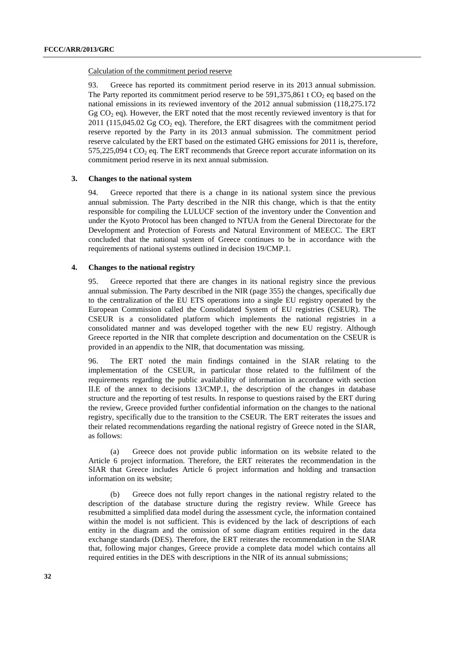#### Calculation of the commitment period reserve

93. Greece has reported its commitment period reserve in its 2013 annual submission. The Party reported its commitment period reserve to be  $591,375,861$  t CO<sub>2</sub> eq based on the national emissions in its reviewed inventory of the 2012 annual submission (118,275.172 Gg  $CO<sub>2</sub>$  eq). However, the ERT noted that the most recently reviewed inventory is that for  $2011$  (115,045.02 Gg CO<sub>2</sub> eq). Therefore, the ERT disagrees with the commitment period reserve reported by the Party in its 2013 annual submission. The commitment period reserve calculated by the ERT based on the estimated GHG emissions for 2011 is, therefore,  $575,225,094$  t CO<sub>2</sub> eq. The ERT recommends that Greece report accurate information on its commitment period reserve in its next annual submission.

#### **3. Changes to the national system**

94. Greece reported that there is a change in its national system since the previous annual submission. The Party described in the NIR this change, which is that the entity responsible for compiling the LULUCF section of the inventory under the Convention and under the Kyoto Protocol has been changed to NTUA from the General Directorate for the Development and Protection of Forests and Natural Environment of MEECC. The ERT concluded that the national system of Greece continues to be in accordance with the requirements of national systems outlined in decision 19/CMP.1.

#### **4. Changes to the national registry**

95. Greece reported that there are changes in its national registry since the previous annual submission. The Party described in the NIR (page 355) the changes, specifically due to the centralization of the EU ETS operations into a single EU registry operated by the European Commission called the Consolidated System of EU registries (CSEUR). The CSEUR is a consolidated platform which implements the national registries in a consolidated manner and was developed together with the new EU registry. Although Greece reported in the NIR that complete description and documentation on the CSEUR is provided in an appendix to the NIR, that documentation was missing.

96. The ERT noted the main findings contained in the SIAR relating to the implementation of the CSEUR, in particular those related to the fulfilment of the requirements regarding the public availability of information in accordance with section II.E of the annex to decisions 13/CMP.1, the description of the changes in database structure and the reporting of test results. In response to questions raised by the ERT during the review, Greece provided further confidential information on the changes to the national registry, specifically due to the transition to the CSEUR. The ERT reiterates the issues and their related recommendations regarding the national registry of Greece noted in the SIAR, as follows:

(a) Greece does not provide public information on its website related to the Article 6 project information. Therefore, the ERT reiterates the recommendation in the SIAR that Greece includes Article 6 project information and holding and transaction information on its website;

(b) Greece does not fully report changes in the national registry related to the description of the database structure during the registry review. While Greece has resubmitted a simplified data model during the assessment cycle, the information contained within the model is not sufficient. This is evidenced by the lack of descriptions of each entity in the diagram and the omission of some diagram entities required in the data exchange standards (DES). Therefore, the ERT reiterates the recommendation in the SIAR that, following major changes, Greece provide a complete data model which contains all required entities in the DES with descriptions in the NIR of its annual submissions;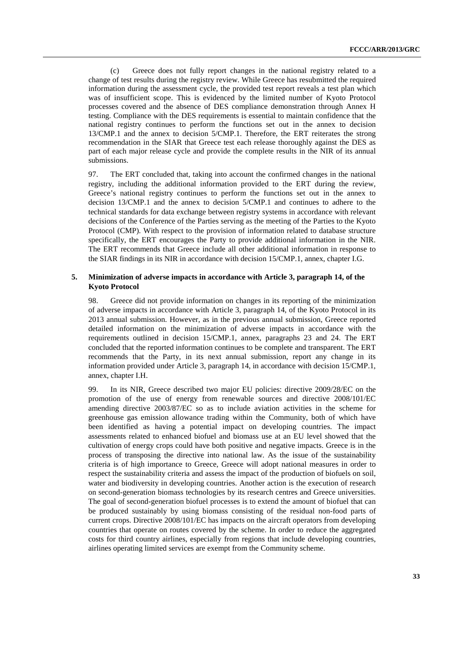(c) Greece does not fully report changes in the national registry related to a change of test results during the registry review. While Greece has resubmitted the required information during the assessment cycle, the provided test report reveals a test plan which was of insufficient scope. This is evidenced by the limited number of Kyoto Protocol processes covered and the absence of DES compliance demonstration through Annex H testing. Compliance with the DES requirements is essential to maintain confidence that the national registry continues to perform the functions set out in the annex to decision 13/CMP.1 and the annex to decision 5/CMP.1. Therefore, the ERT reiterates the strong recommendation in the SIAR that Greece test each release thoroughly against the DES as part of each major release cycle and provide the complete results in the NIR of its annual submissions.

97. The ERT concluded that, taking into account the confirmed changes in the national registry, including the additional information provided to the ERT during the review, Greece's national registry continues to perform the functions set out in the annex to decision 13/CMP.1 and the annex to decision 5/CMP.1 and continues to adhere to the technical standards for data exchange between registry systems in accordance with relevant decisions of the Conference of the Parties serving as the meeting of the Parties to the Kyoto Protocol (CMP). With respect to the provision of information related to database structure specifically, the ERT encourages the Party to provide additional information in the NIR. The ERT recommends that Greece include all other additional information in response to the SIAR findings in its NIR in accordance with decision 15/CMP.1, annex, chapter I.G.

#### **5. Minimization of adverse impacts in accordance with Article 3, paragraph 14, of the Kyoto Protocol**

98. Greece did not provide information on changes in its reporting of the minimization of adverse impacts in accordance with Article 3, paragraph 14, of the Kyoto Protocol in its 2013 annual submission. However, as in the previous annual submission, Greece reported detailed information on the minimization of adverse impacts in accordance with the requirements outlined in decision 15/CMP.1, annex, paragraphs 23 and 24. The ERT concluded that the reported information continues to be complete and transparent. The ERT recommends that the Party, in its next annual submission, report any change in its information provided under Article 3, paragraph 14, in accordance with decision 15/CMP.1, annex, chapter I.H.

99. In its NIR, Greece described two major EU policies: directive 2009/28/EC on the promotion of the use of energy from renewable sources and directive 2008/101/EC amending directive 2003/87/EC so as to include aviation activities in the scheme for greenhouse gas emission allowance trading within the Community, both of which have been identified as having a potential impact on developing countries. The impact assessments related to enhanced biofuel and biomass use at an EU level showed that the cultivation of energy crops could have both positive and negative impacts. Greece is in the process of transposing the directive into national law. As the issue of the sustainability criteria is of high importance to Greece, Greece will adopt national measures in order to respect the sustainability criteria and assess the impact of the production of biofuels on soil, water and biodiversity in developing countries. Another action is the execution of research on second-generation biomass technologies by its research centres and Greece universities. The goal of second-generation biofuel processes is to extend the amount of biofuel that can be produced sustainably by using biomass consisting of the residual non-food parts of current crops. Directive 2008/101/EC has impacts on the aircraft operators from developing countries that operate on routes covered by the scheme. In order to reduce the aggregated costs for third country airlines, especially from regions that include developing countries, airlines operating limited services are exempt from the Community scheme.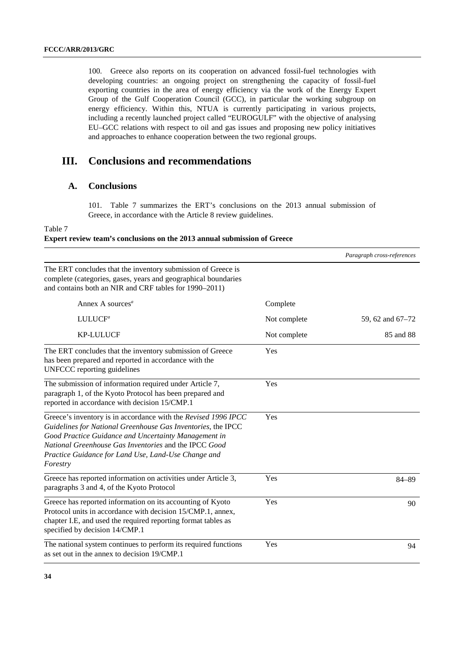100. Greece also reports on its cooperation on advanced fossil-fuel technologies with developing countries: an ongoing project on strengthening the capacity of fossil-fuel exporting countries in the area of energy efficiency via the work of the Energy Expert Group of the Gulf Cooperation Council (GCC), in particular the working subgroup on energy efficiency. Within this, NTUA is currently participating in various projects, including a recently launched project called "EUROGULF" with the objective of analysing EU–GCC relations with respect to oil and gas issues and proposing new policy initiatives and approaches to enhance cooperation between the two regional groups.

# **III. Conclusions and recommendations**

# **A. Conclusions**

101. Table 7 summarizes the ERT's conclusions on the 2013 annual submission of Greece, in accordance with the Article 8 review guidelines.

#### Table 7

### **Expert review team's conclusions on the 2013 annual submission of Greece**

|                                                                                                                                                                                                                                                                                                                    |              | Paragraph cross-references |
|--------------------------------------------------------------------------------------------------------------------------------------------------------------------------------------------------------------------------------------------------------------------------------------------------------------------|--------------|----------------------------|
| The ERT concludes that the inventory submission of Greece is<br>complete (categories, gases, years and geographical boundaries<br>and contains both an NIR and CRF tables for 1990-2011)                                                                                                                           |              |                            |
| Annex A sources <sup><math>a</math></sup>                                                                                                                                                                                                                                                                          | Complete     |                            |
| LULUCF <sup>a</sup>                                                                                                                                                                                                                                                                                                | Not complete | 59, 62 and 67–72           |
| <b>KP-LULUCF</b>                                                                                                                                                                                                                                                                                                   | Not complete | 85 and 88                  |
| The ERT concludes that the inventory submission of Greece<br>has been prepared and reported in accordance with the<br><b>UNFCCC</b> reporting guidelines                                                                                                                                                           | Yes          |                            |
| The submission of information required under Article 7,<br>paragraph 1, of the Kyoto Protocol has been prepared and<br>reported in accordance with decision 15/CMP.1                                                                                                                                               | Yes          |                            |
| Greece's inventory is in accordance with the Revised 1996 IPCC<br>Guidelines for National Greenhouse Gas Inventories, the IPCC<br>Good Practice Guidance and Uncertainty Management in<br>National Greenhouse Gas Inventories and the IPCC Good<br>Practice Guidance for Land Use, Land-Use Change and<br>Forestry | Yes          |                            |
| Greece has reported information on activities under Article 3,<br>paragraphs 3 and 4, of the Kyoto Protocol                                                                                                                                                                                                        | Yes          | $84 - 89$                  |
| Greece has reported information on its accounting of Kyoto<br>Protocol units in accordance with decision 15/CMP.1, annex,<br>chapter I.E, and used the required reporting format tables as<br>specified by decision 14/CMP.1                                                                                       | Yes          | 90                         |
| The national system continues to perform its required functions<br>as set out in the annex to decision 19/CMP.1                                                                                                                                                                                                    | Yes          | 94                         |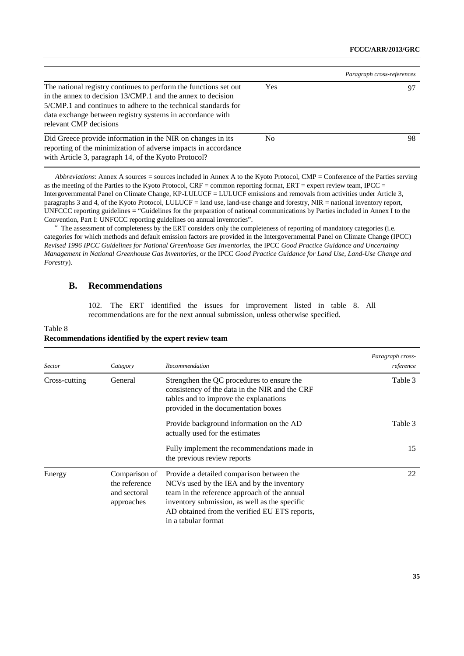|                                                                                                                                                                                                                                                                                          |            | Paragraph cross-references |
|------------------------------------------------------------------------------------------------------------------------------------------------------------------------------------------------------------------------------------------------------------------------------------------|------------|----------------------------|
| The national registry continues to perform the functions set out<br>in the annex to decision 13/CMP.1 and the annex to decision<br>5/CMP.1 and continues to adhere to the technical standards for<br>data exchange between registry systems in accordance with<br>relevant CMP decisions | <b>Yes</b> | 97                         |
| Did Greece provide information in the NIR on changes in its<br>reporting of the minimization of adverse impacts in accordance<br>with Article 3, paragraph 14, of the Kyoto Protocol?                                                                                                    | No.        | 98                         |

*Abbreviations*: Annex A sources = sources included in Annex A to the Kyoto Protocol, CMP = Conference of the Parties serving as the meeting of the Parties to the Kyoto Protocol, CRF = common reporting format, ERT = expert review team, IPCC = Intergovernmental Panel on Climate Change, KP-LULUCF = LULUCF emissions and removals from activities under Article 3, paragraphs 3 and 4, of the Kyoto Protocol, LULUCF = land use, land-use change and forestry, NIR = national inventory report, UNFCCC reporting guidelines = "Guidelines for the preparation of national communications by Parties included in Annex I to the Convention, Part I: UNFCCC reporting guidelines on annual inventories".

<sup>a</sup> The assessment of completeness by the ERT considers only the completeness of reporting of mandatory categories (i.e. categories for which methods and default emission factors are provided in the Intergovernmental Panel on Climate Change (IPCC) *Revised 1996 IPCC Guidelines for National Greenhouse Gas Inventories*, the IPCC *Good Practice Guidance and Uncertainty Management in National Greenhouse Gas Inventories*, or the IPCC *Good Practice Guidance for Land Use, Land-Use Change and Forestry*).

# **B. Recommendations**

Table 8

102. The ERT identified the issues for improvement listed in table 8. All recommendations are for the next annual submission, unless otherwise specified.

| <b>Sector</b> | Category                                                     | Recommendation                                                                                                                                                                                                                                                  | Paragraph cross-<br>reference |
|---------------|--------------------------------------------------------------|-----------------------------------------------------------------------------------------------------------------------------------------------------------------------------------------------------------------------------------------------------------------|-------------------------------|
| Cross-cutting | General                                                      | Strengthen the QC procedures to ensure the<br>consistency of the data in the NIR and the CRF<br>tables and to improve the explanations<br>provided in the documentation boxes                                                                                   | Table 3                       |
|               |                                                              | Provide background information on the AD<br>actually used for the estimates                                                                                                                                                                                     | Table 3                       |
|               |                                                              | Fully implement the recommendations made in<br>the previous review reports                                                                                                                                                                                      | 15                            |
| Energy        | Comparison of<br>the reference<br>and sectoral<br>approaches | Provide a detailed comparison between the<br>NCVs used by the IEA and by the inventory<br>team in the reference approach of the annual<br>inventory submission, as well as the specific<br>AD obtained from the verified EU ETS reports,<br>in a tabular format | 22                            |

### **Recommendations identified by the expert review team**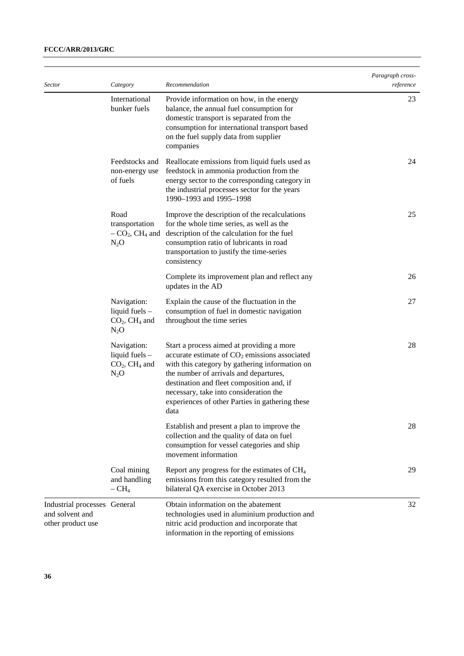| <b>Sector</b>                                                        | Category                                                                 | Recommendation                                                                                                                                                                                                                                                                                                                             | Paragraph cross-<br>reference |
|----------------------------------------------------------------------|--------------------------------------------------------------------------|--------------------------------------------------------------------------------------------------------------------------------------------------------------------------------------------------------------------------------------------------------------------------------------------------------------------------------------------|-------------------------------|
|                                                                      | International<br>bunker fuels                                            | Provide information on how, in the energy<br>balance, the annual fuel consumption for<br>domestic transport is separated from the<br>consumption for international transport based<br>on the fuel supply data from supplier<br>companies                                                                                                   | 23                            |
|                                                                      | Feedstocks and<br>non-energy use<br>of fuels                             | Reallocate emissions from liquid fuels used as<br>feedstock in ammonia production from the<br>energy sector to the corresponding category in<br>the industrial processes sector for the years<br>1990–1993 and 1995–1998                                                                                                                   | 24                            |
|                                                                      | Road<br>transportation<br>$-CO2$ , CH <sub>4</sub> and<br>$N_2O$         | Improve the description of the recalculations<br>for the whole time series, as well as the<br>description of the calculation for the fuel<br>consumption ratio of lubricants in road<br>transportation to justify the time-series<br>consistency                                                                                           | 25                            |
|                                                                      |                                                                          | Complete its improvement plan and reflect any<br>updates in the AD                                                                                                                                                                                                                                                                         | 26                            |
|                                                                      | Navigation:<br>liquid fuels $-$<br>$CO2$ , CH <sub>4</sub> and<br>$N_2O$ | Explain the cause of the fluctuation in the<br>consumption of fuel in domestic navigation<br>throughout the time series                                                                                                                                                                                                                    | 27                            |
|                                                                      | Navigation:<br>liquid fuels $-$<br>$CO2, CH4$ and<br>$N_2O$              | Start a process aimed at providing a more<br>accurate estimate of $CO2$ emissions associated<br>with this category by gathering information on<br>the number of arrivals and departures,<br>destination and fleet composition and, if<br>necessary, take into consideration the<br>experiences of other Parties in gathering these<br>data | 28                            |
|                                                                      |                                                                          | Establish and present a plan to improve the<br>collection and the quality of data on fuel<br>consumption for vessel categories and ship<br>movement information                                                                                                                                                                            | 28                            |
|                                                                      | Coal mining<br>and handling<br>$- CH4$                                   | Report any progress for the estimates of CH <sub>4</sub><br>emissions from this category resulted from the<br>bilateral QA exercise in October 2013                                                                                                                                                                                        | 29                            |
| Industrial processes General<br>and solvent and<br>other product use |                                                                          | Obtain information on the abatement<br>technologies used in aluminium production and<br>nitric acid production and incorporate that<br>information in the reporting of emissions                                                                                                                                                           | 32                            |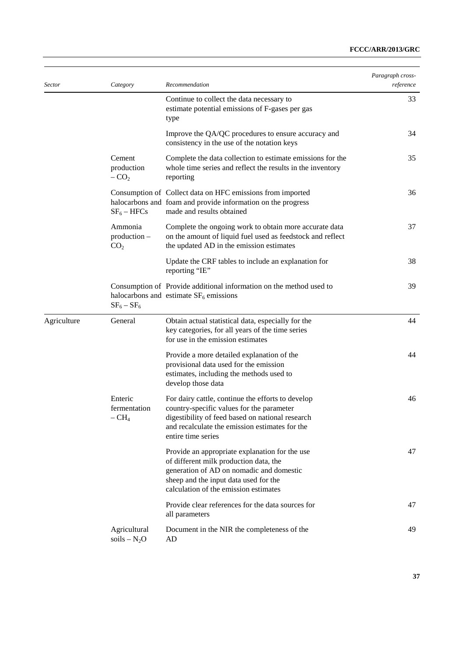| <b>Sector</b> | Category                                     | Recommendation                                                                                                                                                                                                             | Paragraph cross-<br>reference |
|---------------|----------------------------------------------|----------------------------------------------------------------------------------------------------------------------------------------------------------------------------------------------------------------------------|-------------------------------|
|               |                                              | Continue to collect the data necessary to<br>estimate potential emissions of F-gases per gas<br>type                                                                                                                       | 33                            |
|               |                                              | Improve the QA/QC procedures to ensure accuracy and<br>consistency in the use of the notation keys                                                                                                                         | 34                            |
|               | Cement<br>production<br>$-CO2$               | Complete the data collection to estimate emissions for the<br>whole time series and reflect the results in the inventory<br>reporting                                                                                      | 35                            |
|               | $SF_6 - HFCs$                                | Consumption of Collect data on HFC emissions from imported<br>halocarbons and foam and provide information on the progress<br>made and results obtained                                                                    | 36                            |
|               | Ammonia<br>$production -$<br>CO <sub>2</sub> | Complete the ongoing work to obtain more accurate data<br>on the amount of liquid fuel used as feedstock and reflect<br>the updated AD in the emission estimates                                                           | 37                            |
|               |                                              | Update the CRF tables to include an explanation for<br>reporting "IE"                                                                                                                                                      | 38                            |
|               | $SF_6 - SF_6$                                | Consumption of Provide additional information on the method used to<br>halocarbons and estimate $SF6$ emissions                                                                                                            | 39                            |
| Agriculture   | General                                      | Obtain actual statistical data, especially for the<br>key categories, for all years of the time series<br>for use in the emission estimates                                                                                | 44                            |
|               |                                              | Provide a more detailed explanation of the<br>provisional data used for the emission<br>estimates, including the methods used to<br>develop those data                                                                     | 44                            |
|               | Enteric<br>fermentation<br>$-CH4$            | For dairy cattle, continue the efforts to develop<br>country-specific values for the parameter<br>digestibility of feed based on national research<br>and recalculate the emission estimates for the<br>entire time series | 46                            |
|               |                                              | Provide an appropriate explanation for the use<br>of different milk production data, the<br>generation of AD on nomadic and domestic<br>sheep and the input data used for the<br>calculation of the emission estimates     | 47                            |
|               |                                              | Provide clear references for the data sources for<br>all parameters                                                                                                                                                        | 47                            |
|               | Agricultural<br>soils $-N_2O$                | Document in the NIR the completeness of the<br>AD                                                                                                                                                                          | 49                            |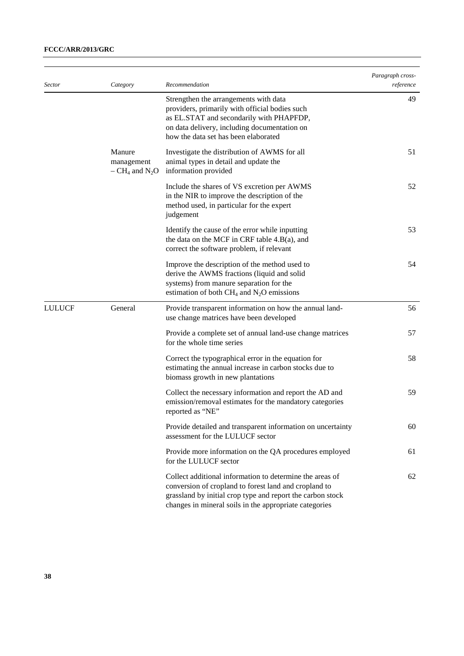| <i>Sector</i> | Category                                    | Recommendation                                                                                                                                                                                                                            | Paragraph cross-<br>reference |
|---------------|---------------------------------------------|-------------------------------------------------------------------------------------------------------------------------------------------------------------------------------------------------------------------------------------------|-------------------------------|
|               |                                             | Strengthen the arrangements with data<br>providers, primarily with official bodies such<br>as EL.STAT and secondarily with PHAPFDP,<br>on data delivery, including documentation on<br>how the data set has been elaborated               | 49                            |
|               | Manure<br>management<br>$- CH_4$ and $N_2O$ | Investigate the distribution of AWMS for all<br>animal types in detail and update the<br>information provided                                                                                                                             | 51                            |
|               |                                             | Include the shares of VS excretion per AWMS<br>in the NIR to improve the description of the<br>method used, in particular for the expert<br>judgement                                                                                     | 52                            |
|               |                                             | Identify the cause of the error while inputting<br>the data on the MCF in CRF table $4.B(a)$ , and<br>correct the software problem, if relevant                                                                                           | 53                            |
|               |                                             | Improve the description of the method used to<br>derive the AWMS fractions (liquid and solid<br>systems) from manure separation for the<br>estimation of both $CH_4$ and $N_2O$ emissions                                                 | 54                            |
| <b>LULUCF</b> | General                                     | Provide transparent information on how the annual land-<br>use change matrices have been developed                                                                                                                                        | 56                            |
|               |                                             | Provide a complete set of annual land-use change matrices<br>for the whole time series                                                                                                                                                    | 57                            |
|               |                                             | Correct the typographical error in the equation for<br>estimating the annual increase in carbon stocks due to<br>biomass growth in new plantations                                                                                        | 58                            |
|               |                                             | Collect the necessary information and report the AD and<br>emission/removal estimates for the mandatory categories<br>reported as "NE"                                                                                                    | 59                            |
|               |                                             | Provide detailed and transparent information on uncertainty<br>assessment for the LULUCF sector                                                                                                                                           | 60                            |
|               |                                             | Provide more information on the QA procedures employed<br>for the LULUCF sector                                                                                                                                                           | 61                            |
|               |                                             | Collect additional information to determine the areas of<br>conversion of cropland to forest land and cropland to<br>grassland by initial crop type and report the carbon stock<br>changes in mineral soils in the appropriate categories | 62                            |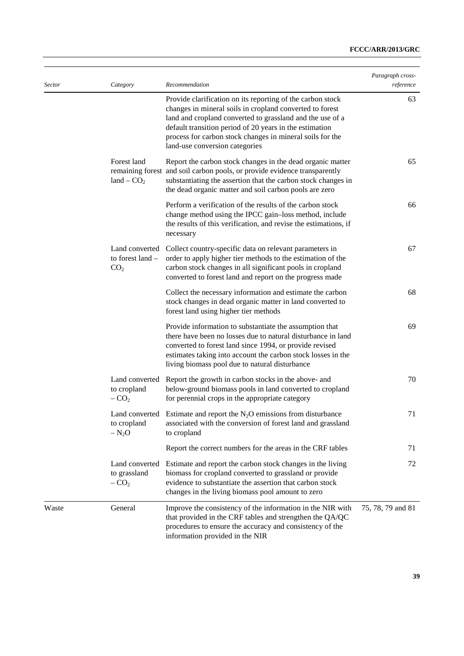| <i>Sector</i> | Category                                              | Recommendation                                                                                                                                                                                                                                                                                                                                | Paragraph cross-<br>reference |
|---------------|-------------------------------------------------------|-----------------------------------------------------------------------------------------------------------------------------------------------------------------------------------------------------------------------------------------------------------------------------------------------------------------------------------------------|-------------------------------|
|               |                                                       | Provide clarification on its reporting of the carbon stock<br>changes in mineral soils in cropland converted to forest<br>land and cropland converted to grassland and the use of a<br>default transition period of 20 years in the estimation<br>process for carbon stock changes in mineral soils for the<br>land-use conversion categories | 63                            |
|               | Forest land<br>land $-$ CO <sub>2</sub>               | Report the carbon stock changes in the dead organic matter<br>remaining forest and soil carbon pools, or provide evidence transparently<br>substantiating the assertion that the carbon stock changes in<br>the dead organic matter and soil carbon pools are zero                                                                            | 65                            |
|               |                                                       | Perform a verification of the results of the carbon stock<br>change method using the IPCC gain-loss method, include<br>the results of this verification, and revise the estimations, if<br>necessary                                                                                                                                          | 66                            |
|               | Land converted<br>to forest land -<br>CO <sub>2</sub> | Collect country-specific data on relevant parameters in<br>order to apply higher tier methods to the estimation of the<br>carbon stock changes in all significant pools in cropland<br>converted to forest land and report on the progress made                                                                                               | 67                            |
|               |                                                       | Collect the necessary information and estimate the carbon<br>stock changes in dead organic matter in land converted to<br>forest land using higher tier methods                                                                                                                                                                               | 68                            |
|               |                                                       | Provide information to substantiate the assumption that<br>there have been no losses due to natural disturbance in land<br>converted to forest land since 1994, or provide revised<br>estimates taking into account the carbon stock losses in the<br>living biomass pool due to natural disturbance                                          | 69                            |
|               | Land converted<br>to cropland<br>$-CO2$               | Report the growth in carbon stocks in the above- and<br>below-ground biomass pools in land converted to cropland<br>for perennial crops in the appropriate category                                                                                                                                                                           | 70                            |
|               | to cropland<br>$- N_2O$                               | Land converted Estimate and report the $N_2O$ emissions from disturbance<br>associated with the conversion of forest land and grassland<br>to cropland                                                                                                                                                                                        | 71                            |
|               |                                                       | Report the correct numbers for the areas in the CRF tables                                                                                                                                                                                                                                                                                    | 71                            |
|               | Land converted<br>to grassland<br>$-CO2$              | Estimate and report the carbon stock changes in the living<br>biomass for cropland converted to grassland or provide<br>evidence to substantiate the assertion that carbon stock<br>changes in the living biomass pool amount to zero                                                                                                         | 72                            |
| Waste         | General                                               | Improve the consistency of the information in the NIR with<br>that provided in the CRF tables and strengthen the QA/QC<br>procedures to ensure the accuracy and consistency of the<br>information provided in the NIR                                                                                                                         | 75, 78, 79 and 81             |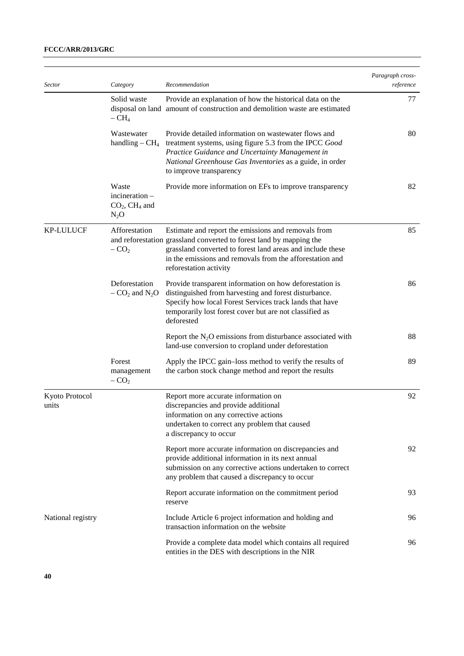| <b>Sector</b>           | Category                                                         | Recommendation                                                                                                                                                                                                                                                                 | Paragraph cross-<br>reference |
|-------------------------|------------------------------------------------------------------|--------------------------------------------------------------------------------------------------------------------------------------------------------------------------------------------------------------------------------------------------------------------------------|-------------------------------|
|                         | Solid waste<br>$- CH4$                                           | Provide an explanation of how the historical data on the<br>disposal on land amount of construction and demolition waste are estimated                                                                                                                                         | 77                            |
|                         | Wastewater<br>handling $-CH4$                                    | Provide detailed information on wastewater flows and<br>treatment systems, using figure 5.3 from the IPCC Good<br>Practice Guidance and Uncertainty Management in<br>National Greenhouse Gas Inventories as a guide, in order<br>to improve transparency                       | 80                            |
|                         | Waste<br>incineration -<br>$CO2$ , CH <sub>4</sub> and<br>$N_2O$ | Provide more information on EFs to improve transparency                                                                                                                                                                                                                        | 82                            |
| <b>KP-LULUCF</b>        | Afforestation<br>$-CO2$                                          | Estimate and report the emissions and removals from<br>and reforestation grassland converted to forest land by mapping the<br>grassland converted to forest land areas and include these<br>in the emissions and removals from the afforestation and<br>reforestation activity | 85                            |
|                         | Deforestation<br>$-$ CO <sub>2</sub> and N <sub>2</sub> O        | Provide transparent information on how deforestation is<br>distinguished from harvesting and forest disturbance.<br>Specify how local Forest Services track lands that have<br>temporarily lost forest cover but are not classified as<br>deforested                           | 86                            |
|                         |                                                                  | Report the $N_2O$ emissions from disturbance associated with<br>land-use conversion to cropland under deforestation                                                                                                                                                            | 88                            |
|                         | Forest<br>management<br>$-CO2$                                   | Apply the IPCC gain-loss method to verify the results of<br>the carbon stock change method and report the results                                                                                                                                                              | 89                            |
| Kyoto Protocol<br>units |                                                                  | Report more accurate information on<br>discrepancies and provide additional<br>information on any corrective actions<br>undertaken to correct any problem that caused<br>a discrepancy to occur                                                                                | 92                            |
|                         |                                                                  | Report more accurate information on discrepancies and<br>provide additional information in its next annual<br>submission on any corrective actions undertaken to correct<br>any problem that caused a discrepancy to occur                                                     | 92                            |
|                         |                                                                  | Report accurate information on the commitment period<br>reserve                                                                                                                                                                                                                | 93                            |
| National registry       |                                                                  | Include Article 6 project information and holding and<br>transaction information on the website                                                                                                                                                                                | 96                            |
|                         |                                                                  | Provide a complete data model which contains all required<br>entities in the DES with descriptions in the NIR                                                                                                                                                                  | 96                            |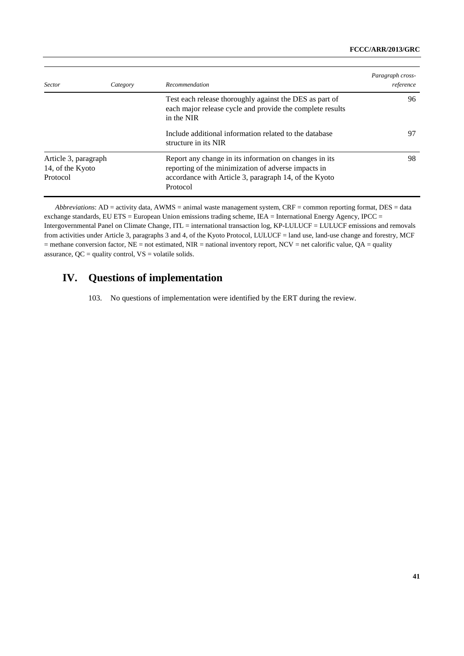| <i>Sector</i>                                        | Category | Recommendation                                                                                                                                                                     | Paragraph cross-<br>reference |
|------------------------------------------------------|----------|------------------------------------------------------------------------------------------------------------------------------------------------------------------------------------|-------------------------------|
|                                                      |          | Test each release thoroughly against the DES as part of<br>each major release cycle and provide the complete results<br>in the NIR                                                 | 96                            |
|                                                      |          | Include additional information related to the database<br>structure in its NIR                                                                                                     | 97                            |
| Article 3, paragraph<br>14, of the Kyoto<br>Protocol |          | Report any change in its information on changes in its<br>reporting of the minimization of adverse impacts in<br>accordance with Article 3, paragraph 14, of the Kyoto<br>Protocol | 98                            |

*Abbreviations*: AD = activity data, AWMS = animal waste management system, CRF = common reporting format, DES = data exchange standards, EU ETS = European Union emissions trading scheme, IEA = International Energy Agency, IPCC = Intergovernmental Panel on Climate Change, ITL = international transaction log, KP-LULUCF = LULUCF emissions and removals from activities under Article 3, paragraphs 3 and 4, of the Kyoto Protocol, LULUCF = land use, land-use change and forestry, MCF  $=$  methane conversion factor, NE = not estimated, NIR = national inventory report, NCV = net calorific value, QA = quality assurance,  $QC =$  quality control,  $VS =$  volatile solids.

# **IV. Questions of implementation**

103. No questions of implementation were identified by the ERT during the review.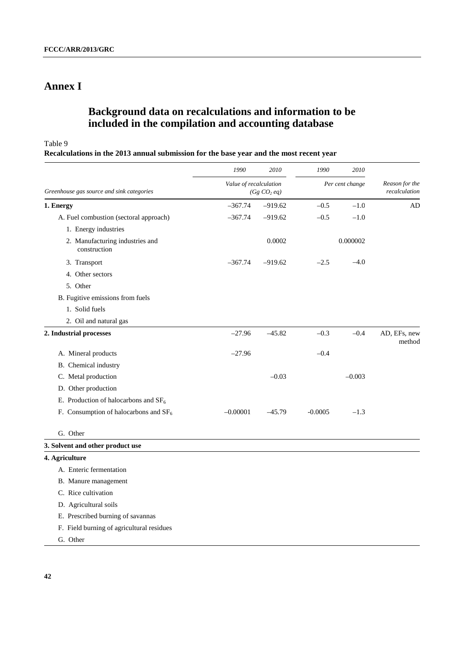# **Annex I**

# **Background data on recalculations and information to be included in the compilation and accounting database**

Table 9

**Recalculations in the 2013 annual submission for the base year and the most recent year**

|                                                 | 1990                                       | 2010      | 1990            | 2010     |                                 |
|-------------------------------------------------|--------------------------------------------|-----------|-----------------|----------|---------------------------------|
| Greenhouse gas source and sink categories       | Value of recalculation<br>$(Gg\ CO_2\ eq)$ |           | Per cent change |          | Reason for the<br>recalculation |
| 1. Energy                                       | $-367.74$                                  | $-919.62$ | $-0.5$          | $-1.0$   | AD                              |
| A. Fuel combustion (sectoral approach)          | $-367.74$                                  | $-919.62$ | $-0.5$          | $-1.0$   |                                 |
| 1. Energy industries                            |                                            |           |                 |          |                                 |
| 2. Manufacturing industries and<br>construction |                                            | 0.0002    |                 | 0.000002 |                                 |
| 3. Transport                                    | $-367.74$                                  | $-919.62$ | $-2.5$          | $-4.0$   |                                 |
| 4. Other sectors                                |                                            |           |                 |          |                                 |
| 5. Other                                        |                                            |           |                 |          |                                 |
| B. Fugitive emissions from fuels                |                                            |           |                 |          |                                 |
| 1. Solid fuels                                  |                                            |           |                 |          |                                 |
| 2. Oil and natural gas                          |                                            |           |                 |          |                                 |
| 2. Industrial processes                         | $-27.96$                                   | $-45.82$  | $-0.3$          | $-0.4$   | AD, EFs, new<br>method          |
| A. Mineral products                             | $-27.96$                                   |           | $-0.4$          |          |                                 |
| B. Chemical industry                            |                                            |           |                 |          |                                 |
| C. Metal production                             |                                            | $-0.03$   |                 | $-0.003$ |                                 |
| D. Other production                             |                                            |           |                 |          |                                 |
| E. Production of halocarbons and $SF6$          |                                            |           |                 |          |                                 |
| F. Consumption of halocarbons and $SF6$         | $-0.00001$                                 | $-45.79$  | $-0.0005$       | $-1.3$   |                                 |
| G. Other                                        |                                            |           |                 |          |                                 |
| 3. Solvent and other product use                |                                            |           |                 |          |                                 |
| 4. Agriculture                                  |                                            |           |                 |          |                                 |
| A. Enteric fermentation                         |                                            |           |                 |          |                                 |
| B. Manure management                            |                                            |           |                 |          |                                 |
| C. Rice cultivation                             |                                            |           |                 |          |                                 |
| D. Agricultural soils                           |                                            |           |                 |          |                                 |
| E. Prescribed burning of savannas               |                                            |           |                 |          |                                 |
| F. Field burning of agricultural residues       |                                            |           |                 |          |                                 |
| G. Other                                        |                                            |           |                 |          |                                 |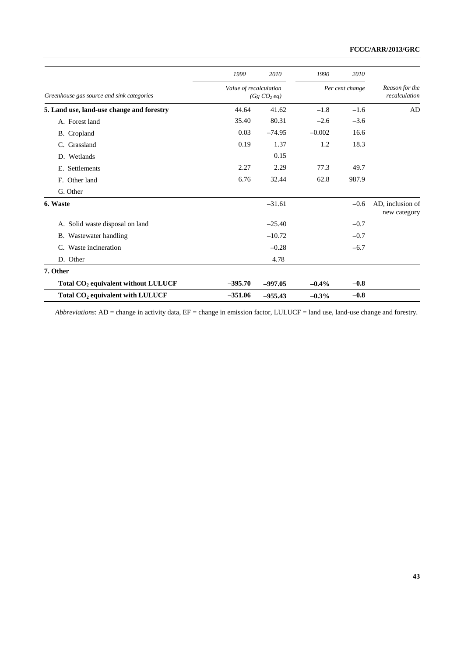|                                                 | 1990                                              | 2010      | 1990            | 2010   |                                  |
|-------------------------------------------------|---------------------------------------------------|-----------|-----------------|--------|----------------------------------|
| Greenhouse gas source and sink categories       | Value of recalculation<br>(Gg CO <sub>2</sub> eq) |           | Per cent change |        | Reason for the<br>recalculation  |
| 5. Land use, land-use change and forestry       | 44.64                                             | 41.62     | $-1.8$          | $-1.6$ | AD                               |
| A. Forest land                                  | 35.40                                             | 80.31     | $-2.6$          | $-3.6$ |                                  |
| B. Cropland                                     | 0.03                                              | $-74.95$  | $-0.002$        | 16.6   |                                  |
| Grassland<br>C.                                 | 0.19                                              | 1.37      | 1.2             | 18.3   |                                  |
| D. Wetlands                                     |                                                   | 0.15      |                 |        |                                  |
| Settlements<br>Е.                               | 2.27                                              | 2.29      | 77.3            | 49.7   |                                  |
| F. Other land                                   | 6.76                                              | 32.44     | 62.8            | 987.9  |                                  |
| G. Other                                        |                                                   |           |                 |        |                                  |
| 6. Waste                                        |                                                   | $-31.61$  |                 | $-0.6$ | AD, inclusion of<br>new category |
| A. Solid waste disposal on land                 |                                                   | $-25.40$  |                 | $-0.7$ |                                  |
| B. Wastewater handling                          |                                                   | $-10.72$  |                 | $-0.7$ |                                  |
| Waste incineration<br>C.                        |                                                   | $-0.28$   |                 | $-6.7$ |                                  |
| D. Other                                        |                                                   | 4.78      |                 |        |                                  |
| 7. Other                                        |                                                   |           |                 |        |                                  |
| Total CO <sub>2</sub> equivalent without LULUCF | $-395.70$                                         | $-997.05$ | $-0.4\%$        | $-0.8$ |                                  |
| Total CO <sub>2</sub> equivalent with LULUCF    | $-351.06$                                         | $-955.43$ | $-0.3%$         | $-0.8$ |                                  |

*Abbreviations*: AD = change in activity data, EF = change in emission factor, LULUCF = land use, land-use change and forestry.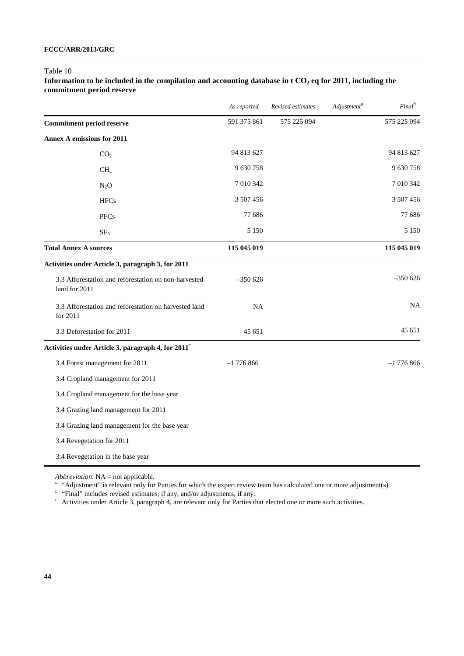#### Table 10

Information to be included in the compilation and accounting database in t CO<sub>2</sub> eq for 2011, including the **commitment period reserve** 

|                                                                       | As reported | Revised estimates | $\it{Adjustment}^a$ | Final <sup>b</sup> |
|-----------------------------------------------------------------------|-------------|-------------------|---------------------|--------------------|
| <b>Commitment period reserve</b>                                      | 591 375 861 | 575 225 094       |                     | 575 225 094        |
| <b>Annex A emissions for 2011</b>                                     |             |                   |                     |                    |
| CO <sub>2</sub>                                                       | 94 813 627  |                   |                     | 94 813 627         |
| CH <sub>4</sub>                                                       | 9 630 758   |                   |                     | 9 630 758          |
| $N_2O$                                                                | 7 010 342   |                   |                     | 7 010 342          |
| <b>HFCs</b>                                                           | 3 507 456   |                   |                     | 3 507 456          |
| <b>PFCs</b>                                                           | 77 686      |                   |                     | 77 686             |
| SF <sub>6</sub>                                                       | 5 1 5 0     |                   |                     | 5 1 5 0            |
| <b>Total Annex A sources</b>                                          | 115 045 019 |                   |                     | 115 045 019        |
| Activities under Article 3, paragraph 3, for 2011                     |             |                   |                     |                    |
| 3.3 Afforestation and reforestation on non-harvested<br>land for 2011 | $-350626$   |                   |                     | $-350626$          |
| 3.3 Afforestation and reforestation on harvested land<br>for 2011     | <b>NA</b>   |                   |                     | <b>NA</b>          |
| 3.3 Deforestation for 2011                                            | 45 651      |                   |                     | 45 651             |
| Activities under Article 3, paragraph 4, for 2011 <sup>c</sup>        |             |                   |                     |                    |
| 3.4 Forest management for 2011                                        | $-1776866$  |                   |                     | $-1776866$         |
| 3.4 Cropland management for 2011                                      |             |                   |                     |                    |
| 3.4 Cropland management for the base year                             |             |                   |                     |                    |
| 3.4 Grazing land management for 2011                                  |             |                   |                     |                    |
| 3.4 Grazing land management for the base year                         |             |                   |                     |                    |
| 3.4 Revegetation for 2011                                             |             |                   |                     |                    |
| 3.4 Revegetation in the base year                                     |             |                   |                     |                    |

*Abbreviation*: NA = not applicable.

<sup>a</sup> "Adjustment" is relevant only for Parties for which the expert review team has calculated one or more adjustment(s).

*<sup>b</sup>*"Final" includes revised estimates, if any, and/or adjustments, if any.

<sup>c</sup> Activities under Article 3, paragraph 4, are relevant only for Parties that elected one or more such activities.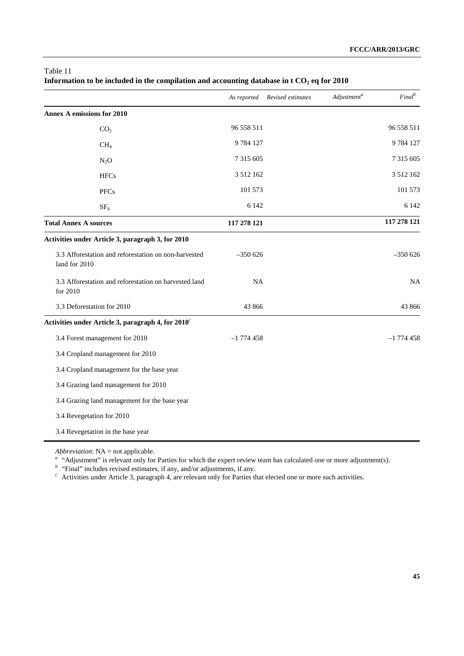|                                                                       | As reported   | Revised estimates | Adjustment <sup>a</sup> | Final <sup>b</sup> |
|-----------------------------------------------------------------------|---------------|-------------------|-------------------------|--------------------|
| <b>Annex A emissions for 2010</b>                                     |               |                   |                         |                    |
| CO <sub>2</sub>                                                       | 96 558 511    |                   |                         | 96 558 511         |
| CH <sub>4</sub>                                                       | 9784127       |                   |                         | 9784127            |
| $N_2O$                                                                | 7 315 605     |                   |                         | 7 315 605          |
| <b>HFCs</b>                                                           | 3 5 1 2 1 6 2 |                   |                         | 3 512 162          |
| <b>PFCs</b>                                                           | 101 573       |                   |                         | 101 573            |
| SF <sub>6</sub>                                                       | 6 1 4 2       |                   |                         | 6 1 4 2            |
| <b>Total Annex A sources</b>                                          | 117 278 121   |                   |                         | 117 278 121        |
| Activities under Article 3, paragraph 3, for 2010                     |               |                   |                         |                    |
| 3.3 Afforestation and reforestation on non-harvested<br>land for 2010 | $-350626$     |                   |                         | $-350626$          |
| 3.3 Afforestation and reforestation on harvested land<br>for 2010     | NA            |                   |                         | <b>NA</b>          |
| 3.3 Deforestation for 2010                                            | 43 866        |                   |                         | 43 866             |
| Activities under Article 3, paragraph 4, for 2010 <sup>c</sup>        |               |                   |                         |                    |
| 3.4 Forest management for 2010                                        | $-1774458$    |                   |                         | $-1$ 774 458       |
| 3.4 Cropland management for 2010                                      |               |                   |                         |                    |
| 3.4 Cropland management for the base year                             |               |                   |                         |                    |
| 3.4 Grazing land management for 2010                                  |               |                   |                         |                    |
| 3.4 Grazing land management for the base year                         |               |                   |                         |                    |
| 3.4 Revegetation for 2010                                             |               |                   |                         |                    |
| 3.4 Revegetation in the base year                                     |               |                   |                         |                    |

# Table 11 Information to be included in the compilation and accounting database in t CO<sub>2</sub> eq for 2010

*Abbreviation*: NA = not applicable.

<sup>a</sup> "Adjustment" is relevant only for Parties for which the expert review team has calculated one or more adjustment(s).

*<sup>b</sup>*"Final" includes revised estimates, if any, and/or adjustments, if any.

<sup>c</sup> Activities under Article 3, paragraph 4, are relevant only for Parties that elected one or more such activities.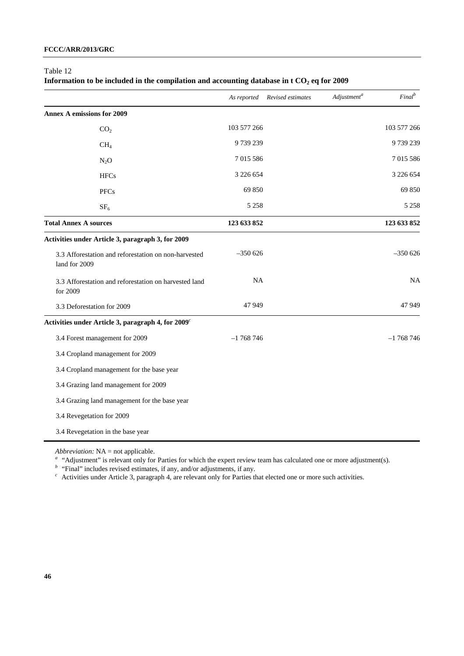#### Table 12

| Information to be included in the compilation and accounting database in t CO <sub>2</sub> eq for 2009 |  |  |  |
|--------------------------------------------------------------------------------------------------------|--|--|--|
|--------------------------------------------------------------------------------------------------------|--|--|--|

|                                                                       | As reported   | Revised estimates | Adjustment <sup>a</sup> | Final <sup>b</sup> |
|-----------------------------------------------------------------------|---------------|-------------------|-------------------------|--------------------|
| <b>Annex A emissions for 2009</b>                                     |               |                   |                         |                    |
| CO <sub>2</sub>                                                       | 103 577 266   |                   |                         | 103 577 266        |
| CH <sub>4</sub>                                                       | 9739239       |                   |                         | 9739239            |
| $N_2O$                                                                | 7 015 586     |                   |                         | 7 015 586          |
| <b>HFCs</b>                                                           | 3 2 2 6 6 5 4 |                   |                         | 3 226 654          |
| <b>PFCs</b>                                                           | 69 850        |                   |                         | 69 850             |
| SF <sub>6</sub>                                                       | 5 2 5 8       |                   |                         | 5 2 5 8            |
| <b>Total Annex A sources</b>                                          | 123 633 852   |                   |                         | 123 633 852        |
| Activities under Article 3, paragraph 3, for 2009                     |               |                   |                         |                    |
| 3.3 Afforestation and reforestation on non-harvested<br>land for 2009 | $-350626$     |                   |                         | $-350626$          |
| 3.3 Afforestation and reforestation on harvested land<br>for 2009     | $\rm NA$      |                   |                         | <b>NA</b>          |
| 3.3 Deforestation for 2009                                            | 47 949        |                   |                         | 47949              |
| Activities under Article 3, paragraph 4, for 2009 <sup>c</sup>        |               |                   |                         |                    |
| 3.4 Forest management for 2009                                        | $-1768746$    |                   |                         | $-1768746$         |
| 3.4 Cropland management for 2009                                      |               |                   |                         |                    |
| 3.4 Cropland management for the base year                             |               |                   |                         |                    |
| 3.4 Grazing land management for 2009                                  |               |                   |                         |                    |
| 3.4 Grazing land management for the base year                         |               |                   |                         |                    |
| 3.4 Revegetation for 2009                                             |               |                   |                         |                    |
| 3.4 Revegetation in the base year                                     |               |                   |                         |                    |

*Abbreviation:* NA = not applicable.

<sup>a</sup> "Adjustment" is relevant only for Parties for which the expert review team has calculated one or more adjustment(s).

*<sup>b</sup>*"Final" includes revised estimates, if any, and/or adjustments, if any.

 $c<sup>c</sup>$  Activities under Article 3, paragraph 4, are relevant only for Parties that elected one or more such activities.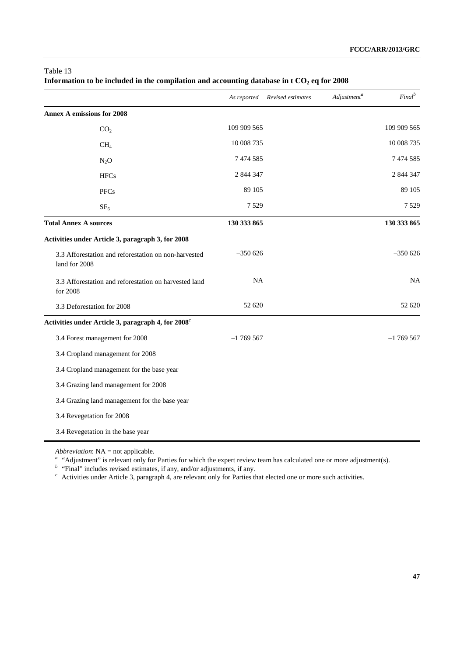|                                                                       | As reported | Revised estimates | Adjustment <sup>a</sup> | Final <sup>b</sup> |
|-----------------------------------------------------------------------|-------------|-------------------|-------------------------|--------------------|
| <b>Annex A emissions for 2008</b>                                     |             |                   |                         |                    |
| CO <sub>2</sub>                                                       | 109 909 565 |                   |                         | 109 909 565        |
| CH <sub>4</sub>                                                       | 10 008 735  |                   |                         | 10 008 735         |
| $N_2O$                                                                | 7474585     |                   |                         | 7 474 585          |
| <b>HFCs</b>                                                           | 2 844 347   |                   |                         | 2 844 347          |
| <b>PFCs</b>                                                           | 89 105      |                   |                         | 89 105             |
| SF <sub>6</sub>                                                       | 7 5 2 9     |                   |                         | 7529               |
| <b>Total Annex A sources</b>                                          | 130 333 865 |                   |                         | 130 333 865        |
| Activities under Article 3, paragraph 3, for 2008                     |             |                   |                         |                    |
| 3.3 Afforestation and reforestation on non-harvested<br>land for 2008 | $-350626$   |                   |                         | $-350626$          |
| 3.3 Afforestation and reforestation on harvested land<br>for 2008     | <b>NA</b>   |                   |                         | <b>NA</b>          |
| 3.3 Deforestation for 2008                                            | 52 620      |                   |                         | 52 620             |
| Activities under Article 3, paragraph 4, for 2008 <sup>c</sup>        |             |                   |                         |                    |
| 3.4 Forest management for 2008                                        | $-1769567$  |                   |                         | $-1769567$         |
| 3.4 Cropland management for 2008                                      |             |                   |                         |                    |
| 3.4 Cropland management for the base year                             |             |                   |                         |                    |
| 3.4 Grazing land management for 2008                                  |             |                   |                         |                    |
| 3.4 Grazing land management for the base year                         |             |                   |                         |                    |
| 3.4 Revegetation for 2008                                             |             |                   |                         |                    |
| 3.4 Revegetation in the base year                                     |             |                   |                         |                    |

# Table 13 Information to be included in the compilation and accounting database in t CO<sub>2</sub> eq for 2008

*Abbreviation*: NA = not applicable*.*

<sup>a</sup> "Adjustment" is relevant only for Parties for which the expert review team has calculated one or more adjustment(s).

*<sup>b</sup>*"Final" includes revised estimates, if any, and/or adjustments, if any.

<sup>c</sup> Activities under Article 3, paragraph 4, are relevant only for Parties that elected one or more such activities.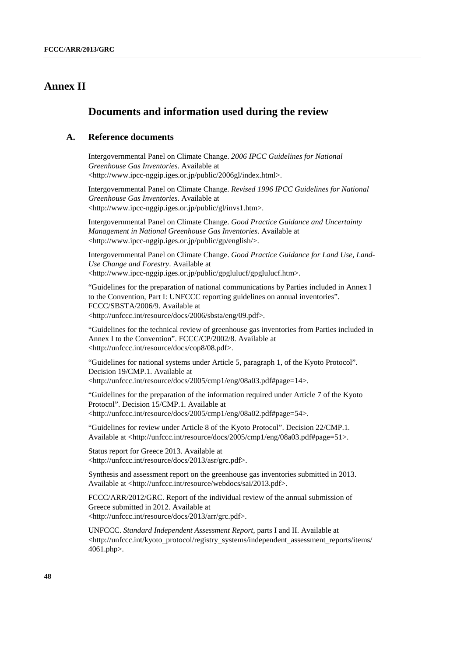# **Annex II**

# **Documents and information used during the review**

# **A. Reference documents**

Intergovernmental Panel on Climate Change. *2006 IPCC Guidelines for National Greenhouse Gas Inventories*. Available at <http://www.ipcc-nggip.iges.or.jp/public/2006gl/index.html>.

Intergovernmental Panel on Climate Change. *Revised 1996 IPCC Guidelines for National Greenhouse Gas Inventories*. Available at <http://www.ipcc-nggip.iges.or.jp/public/gl/invs1.htm>.

Intergovernmental Panel on Climate Change. *Good Practice Guidance and Uncertainty Management in National Greenhouse Gas Inventories*. Available at <http://www.ipcc-nggip.iges.or.jp/public/gp/english/>.

Intergovernmental Panel on Climate Change. *Good Practice Guidance for Land Use, Land-Use Change and Forestry*. Available at <http://www.ipcc-nggip.iges.or.jp/public/gpglulucf/gpglulucf.htm>.

"Guidelines for the preparation of national communications by Parties included in Annex I to the Convention, Part I: UNFCCC reporting guidelines on annual inventories". FCCC/SBSTA/2006/9. Available at <http://unfccc.int/resource/docs/2006/sbsta/eng/09.pdf>.

"Guidelines for the technical review of greenhouse gas inventories from Parties included in Annex I to the Convention". FCCC/CP/2002/8. Available at <http://unfccc.int/resource/docs/cop8/08.pdf>.

"Guidelines for national systems under Article 5, paragraph 1, of the Kyoto Protocol". Decision 19/CMP.1. Available at <http://unfccc.int/resource/docs/2005/cmp1/eng/08a03.pdf#page=14>.

"Guidelines for the preparation of the information required under Article 7 of the Kyoto Protocol". Decision 15/CMP.1. Available at <http://unfccc.int/resource/docs/2005/cmp1/eng/08a02.pdf#page=54>.

"Guidelines for review under Article 8 of the Kyoto Protocol". Decision 22/CMP.1. Available at <http://unfccc.int/resource/docs/2005/cmp1/eng/08a03.pdf#page=51>.

Status report for Greece 2013. Available at <http://unfccc.int/resource/docs/2013/asr/grc.pdf>.

Synthesis and assessment report on the greenhouse gas inventories submitted in 2013. Available at <http://unfccc.int/resource/webdocs/sai/2013.pdf>.

FCCC/ARR/2012/GRC. Report of the individual review of the annual submission of Greece submitted in 2012. Available at <http://unfccc.int/resource/docs/2013/arr/grc.pdf>.

UNFCCC. *Standard Independent Assessment Report*, parts I and II. Available at <http://unfccc.int/kyoto\_protocol/registry\_systems/independent\_assessment\_reports/items/ 4061.php>.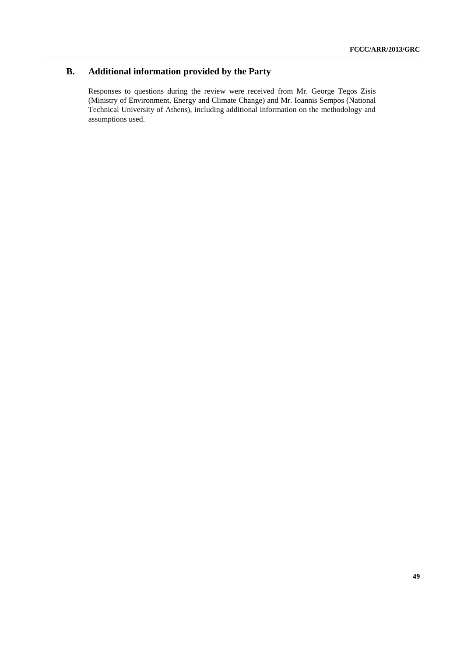# **B. Additional information provided by the Party**

Responses to questions during the review were received from Mr. George Tegos Zisis (Ministry of Environment, Energy and Climate Change) and Mr. Ioannis Sempos (National Technical University of Athens), including additional information on the methodology and assumptions used.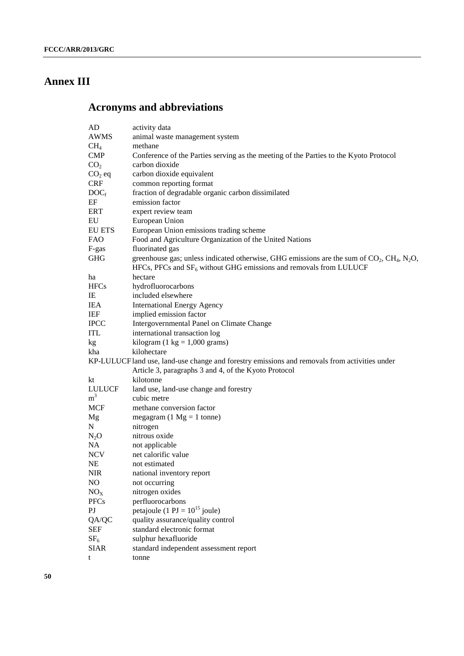# **Annex III**

# **Acronyms and abbreviations**

| AD                      | activity data                                                                                                        |
|-------------------------|----------------------------------------------------------------------------------------------------------------------|
| <b>AWMS</b>             | animal waste management system                                                                                       |
| CH <sub>4</sub>         | methane                                                                                                              |
| <b>CMP</b>              | Conference of the Parties serving as the meeting of the Parties to the Kyoto Protocol                                |
| CO <sub>2</sub>         | carbon dioxide                                                                                                       |
| $CO2$ eq                | carbon dioxide equivalent                                                                                            |
| <b>CRF</b>              | common reporting format                                                                                              |
| $DOC_f$                 | fraction of degradable organic carbon dissimilated                                                                   |
| EF                      | emission factor                                                                                                      |
| <b>ERT</b>              | expert review team                                                                                                   |
| EU                      | European Union                                                                                                       |
| <b>EU ETS</b>           | European Union emissions trading scheme                                                                              |
| <b>FAO</b>              | Food and Agriculture Organization of the United Nations                                                              |
| F-gas                   | fluorinated gas                                                                                                      |
| <b>GHG</b>              | greenhouse gas; unless indicated otherwise, GHG emissions are the sum of $CO2$ , CH <sub>4</sub> , N <sub>2</sub> O, |
|                         | HFCs, PFCs and $SF_6$ without GHG emissions and removals from LULUCF                                                 |
| ha                      | hectare                                                                                                              |
| <b>HFCs</b>             | hydrofluorocarbons                                                                                                   |
| IE                      | included elsewhere                                                                                                   |
| <b>IEA</b>              | <b>International Energy Agency</b>                                                                                   |
| IEF                     | implied emission factor                                                                                              |
| <b>IPCC</b>             | Intergovernmental Panel on Climate Change                                                                            |
| <b>ITL</b>              | international transaction log                                                                                        |
| kg                      | kilogram (1 kg = $1,000$ grams)                                                                                      |
| kha                     | kilohectare                                                                                                          |
|                         | KP-LULUCF land use, land-use change and forestry emissions and removals from activities under                        |
|                         | Article 3, paragraphs 3 and 4, of the Kyoto Protocol                                                                 |
| kt                      | kilotonne                                                                                                            |
| <b>LULUCF</b>           | land use, land-use change and forestry                                                                               |
| m <sup>3</sup>          | cubic metre                                                                                                          |
| <b>MCF</b>              | methane conversion factor                                                                                            |
| Mg                      | megagram (1 $Mg = 1$ tonne)                                                                                          |
| N                       | nitrogen                                                                                                             |
| $N_2O$                  | nitrous oxide                                                                                                        |
| <b>NA</b>               | not applicable                                                                                                       |
| <b>NCV</b>              | net calorific value                                                                                                  |
| <b>NE</b>               | not estimated                                                                                                        |
| <b>NIR</b>              | national inventory report                                                                                            |
| NO                      | not occurring                                                                                                        |
| NO <sub>X</sub>         | nitrogen oxides                                                                                                      |
| <b>PFCs</b>             | perfluorocarbons                                                                                                     |
| $\mathbf{P} \mathbf{J}$ | petajoule (1 PJ = $10^{15}$ joule)                                                                                   |
| QA/QC                   | quality assurance/quality control                                                                                    |
| <b>SEF</b>              | standard electronic format                                                                                           |
| SF <sub>6</sub>         | sulphur hexafluoride                                                                                                 |
| <b>SIAR</b>             | standard independent assessment report                                                                               |
| t                       | tonne                                                                                                                |